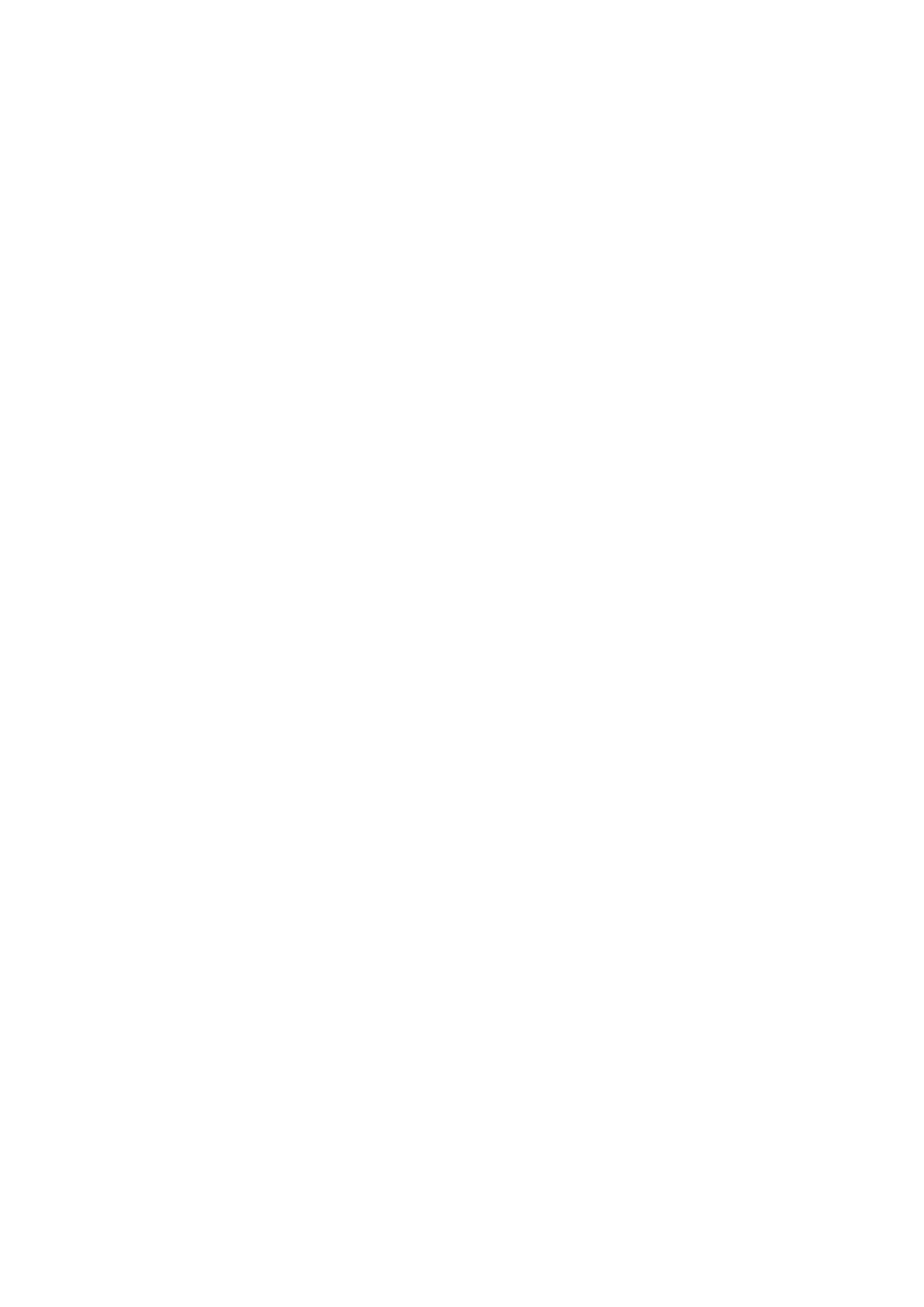# **UNIT -1 MEANING, CHARACTERISTIC OF GLOBALISATION**

#### **Structure**

- 1.1 Introduction
- 1.2 Learning Objectives
- 1.3 Globalisation: Meaning, definition and approaches
- 1.4 Characteristic of Globalisation
- 1.5 Let Us Sum Up
- 1.6 Glossary
- 1.7 Check your Progress
- 1.8 Model questions
- 1.9 References

## **1.1 INTRODUCTION**

This unit gives an over view of the meaning and approaches of globalization. This unit also discuss about the major characteristic features of globalisation. It treats globalisation as a social process and how it was brought into intellectual discourses and the domain of sociological inquiry. Globalisation is a term that has been used to explain the integration of the world, in multiple ways – economic, political, cultural, technological and geographic. Though globalisation cannot and must not be limited to mean economic integration of the world, the term globalisation has been, over the years, seen to be synonymous with economic globalisation.

### **1.2 LEARNING OBJECTIVES**

After studying the unit you will be able to:

- Understand the meaning, definition and approaches of Globalisation
- Explain the various characteristic of Globalisation

## **1.3 GLOBALISATION: MEANING, DEFINITIONS AND APPROACHES**

Globalisation is a distinguishing trend and feature of the modern society. As a term it had its origin in French and American writings in the 1960s. But, it came into popular usage in the 1980s. Since then it has become a debatable topic among the academia, policy planners and practitioners. It is a social process that has resulted in greater interconnectedness and integration of people and nations across the borders. The process has stirred greater movement of individuals, ideas, knowledge, capital and goods across the national borders. Simply it can be described as a social process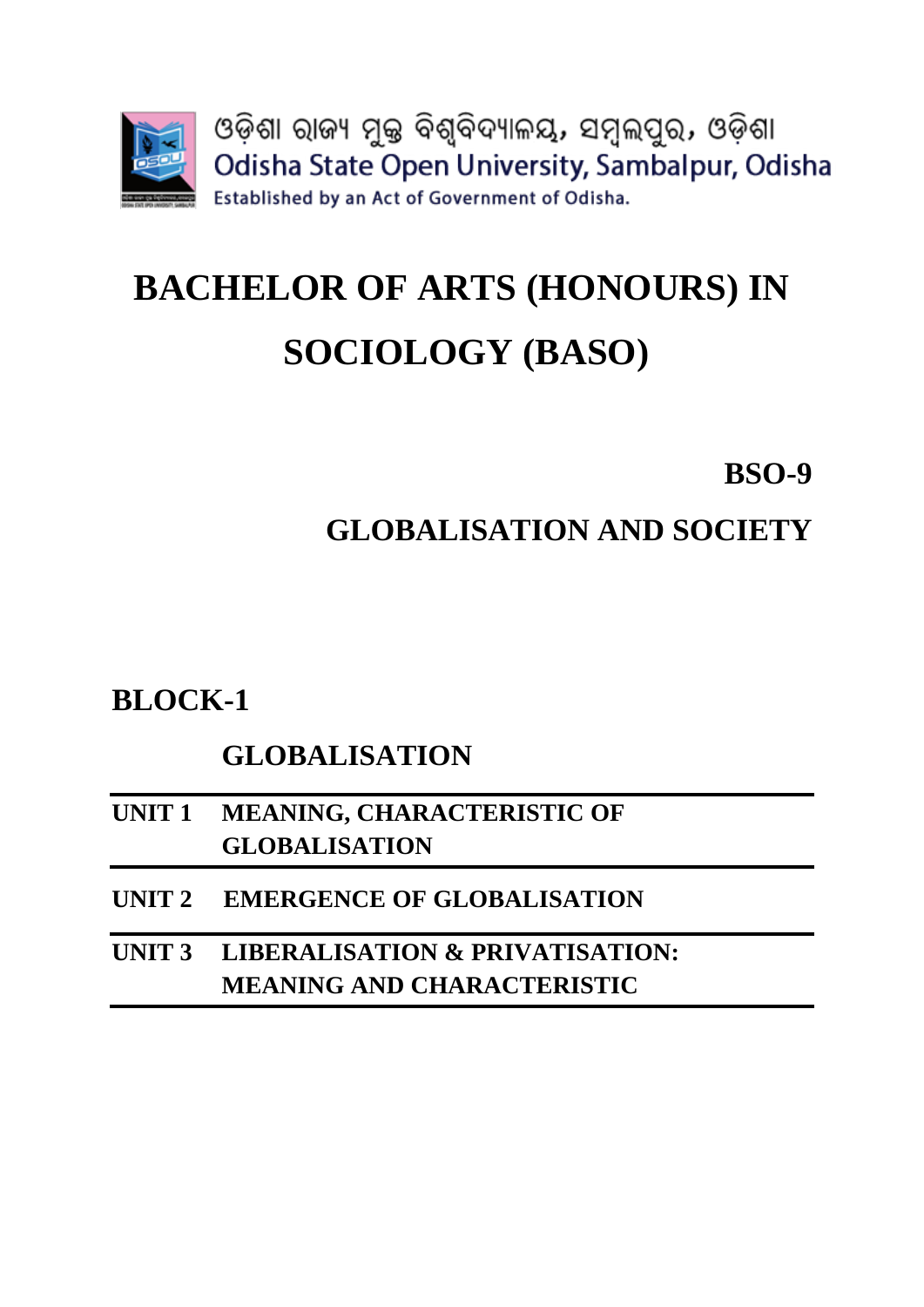that has resulted in the dissemination of information, dispersion of ideas, diffusion of knowledge and technological knowhow, distribution of resources leading to the transformation of societies. It is a process of interaction and integration among the people, companies, and governments of different nations, a process driven by international trade and investment and aided by information technology. Globalization is the worldwide process of homogenizing prices, products, wages, rates of interest and profits. It is a process by which the people of the world are unified into a single society and it leads to the integration of national economies into the international economy through trade, foreign direct investment, capital flows, migration, and spread of technology. Thus, globalization is a single word describing multiplicity of phenomena. It is omnipresent, ubiquitous and multidimensional.

Globalisation during last two decades has been called as the most talked about phenomenon. However, what exactly needs to be included under the term globalisation is deeply contested. It is a multi-dimensional phenomenon, involving diverse activities and interactions including the economic, political, technological, cultural and environmental.

- To quote Albrow globalisation includes "all those processes by which the peoples of the world are incorporated into a single society, global society".
- In the languages of Ronald Robertson "Globalization as a concept refers both to the compression of the world and the intensification of consciousness of the world as a whole."
- Anthony Giddens sees Globalisation as, "The intensification of world-wide social relations which link distant localities in such a way that local happenings are shaped by events occuring many miles away and vice-versa". The term has been used expansively to include an enormous range of features of contemporary life. Five of them can be considered as crucial to its understanding:

#### **a) Stretched Social Relations**

Globalisation invokes cultural, economic and political networks of relations spread across the world, denser than in any previous periods. Further they are not confined to merely specific regions. They envelop the whole world,

#### **b) Intensification of Flows Globalisation and Liberalisation**

Globalisation is manifest in the rapid flow of information, capital and goods. They result in networks and interactions that transcend any effective monitoring and control by the nation-states. They beget social interactions that could have little to do with geographical and cultural contiguity. Mobile phones, satellite television and internet, which are based on the flows, do not respect the spatial frameworks that bound communication hitherto.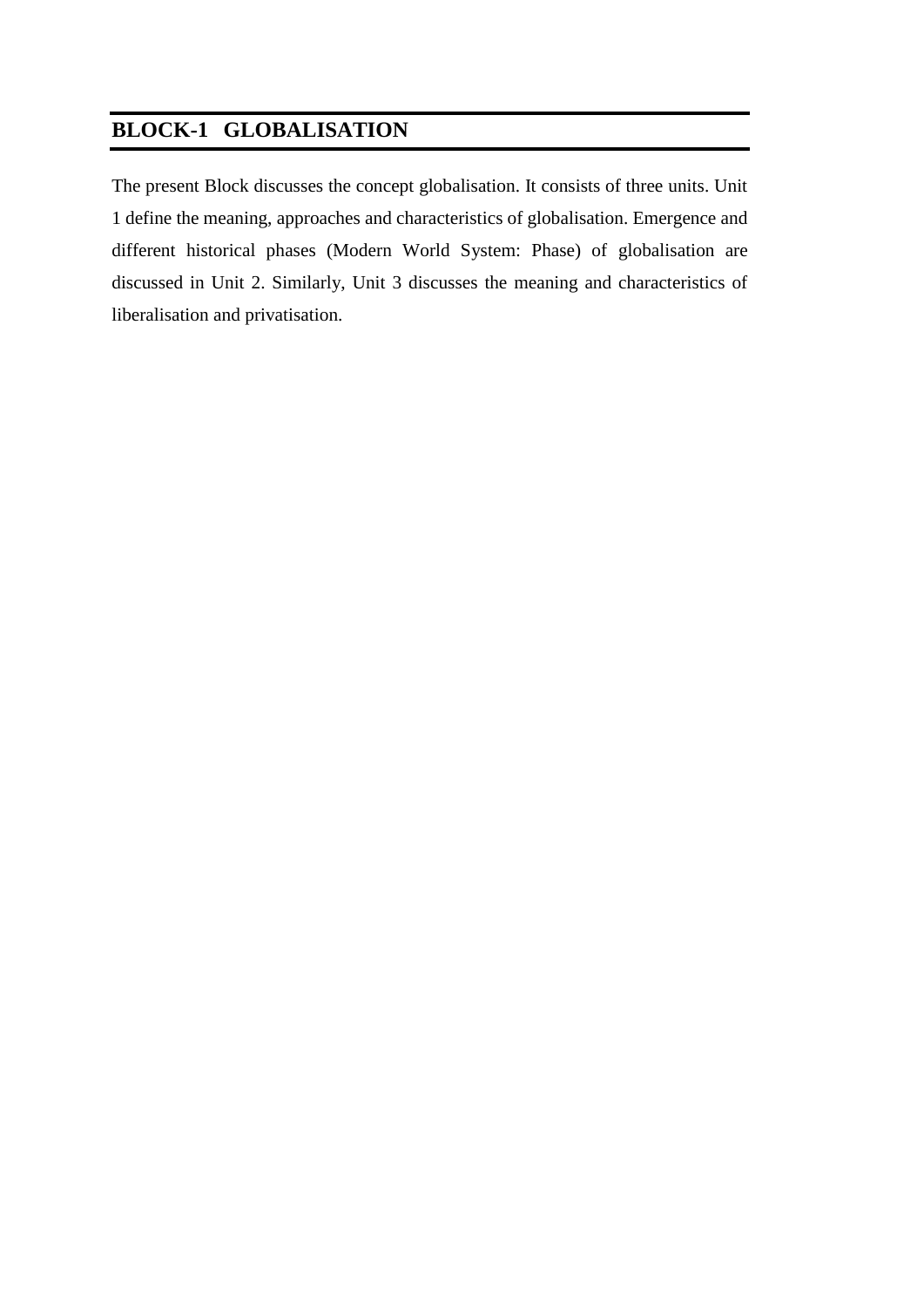#### **c) Increasing Interpenetration**

Under globalisation cultures and societies that were hitherto distinct come face to face with one another and get interwoven into the ways of social life of others. Differences of language, food, dress and beliefs become constitutive of social makeup.

#### **d) Global Infrastructure**

They are formal and informal institutional arrangements in the economic, political and cultural domains that facilitate networking and flows. Their reach transcends the bounds of nation-state. They facilitate the functioning of a global market. They embody codes and regulations holding transnational interactions in place. They provide the mechanisms of global governance.

#### **e) Reformulation of Social Relations**

Under globalisation relations between social classes are brought sharply to focus on a global scale. In the earlier phases of capitalism class relations were primarily defined within the vortex of the nation-state. Globalisation brings about a dense interaction between dominant classes and regions outstripping national cleavages. It throws up new social strata and factions both at the national and global levels. It reformulates inequalities and existing unevenness in economic and power relations.

## **1.4 CHARACTERISTICS OF GLOBALISATION**

The above five-fold features inform the following characteristics of the globalising world.

- a) It is an inter-connected world: It is connected on account of modes of simultaneous communication to any part of the world. It is also a connected world on account of the problems that confront humanity as a whole. Problems such as global climatic changes, the depletion of the ozone layer, drugs, terrorism, pollution of the oceans etc. are beyond the scope of any particular nation-state.
- b) Distant actions in one comer of the globe have rapid and significant repercussions in other parts. For instance, the East Asian Crisis of 1997- 1998 on the New York Stock Market on Bombay Stock Market etc.
- c) There is the emergence of global social strata sharing certain common cultural features. For instance: English language, Blue Jeans, Sweat Shirts, etc. These features increasingly penetrate national cultures and may attempt to bring about levels of homogenisation of modes of living, thought and interactions.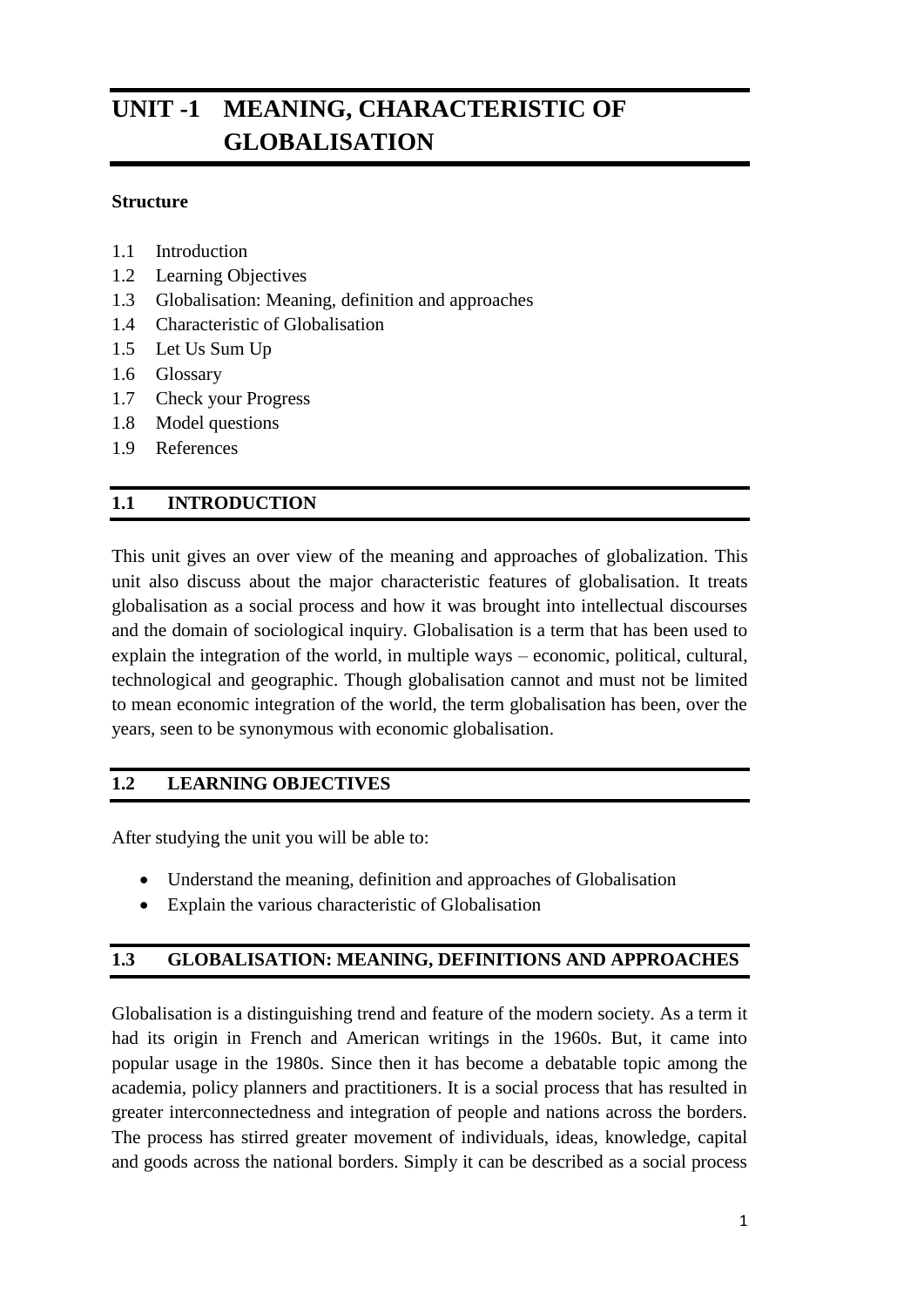- d) Globalisation encapsulates the entire range of social relations. It has its impact on every facet of life. However, the momentum of these relations may not move at a uniform pace.
- e) Under globalisation power relations come to be articulated increasingly at the global level. New organisations come to be established for the purpose.
- f) Development of communication technology undermines the authority of the nation-state and poses a threat to its sovereignty.
- g) It connects localities with the world bypassing national boundaries.
- h) Sometimes individuals and smaller institutions in control of a front-line technology can challenge the power of global organisations by forming alliances. There grows up a new entrepreneurship around such knowledge based industry.
- i) The prevailing pattern of globalisation has widened economic inequalities and has worsened the lot of the impoverished. It has threatened the existence of local cultures.
- j) Globalisation also brings new opportunities. It widens tremendously the range of choices available to people. It breaks down such geographic barriers as town and countryside and metropolis and periphery to access resources and information. One can live locally while being in tune with the global context.
- k) It is the integration of the global financial markets that often remains the hallmark of globalisation. It involves new forms of financial sanctions, assisted by new modes of communication. It has led to the weakening of the national stock markets and tremendous growth in international bank lending, international bond markets etc.
- l) It involves a struggle to dominate global markets and centralisation of power in a few organisations. The rise of the Multinational Corporations (MNCs), the International Monetary Fund (IMF), the World Bank and the World Trade Organisation (WTO) have come to play bear witness to it. The process of Globalisation has hitherto been accompanied by a strong dose of Arnericanisation manifest in such symbols as 'Coca-Cola' and 'Macdonald' and has reinforced its influence over the other regions of the world.

Thus, we see that there are different facets to globalisation. As a result of this, the term globalisation today has multiple meanings and definitions.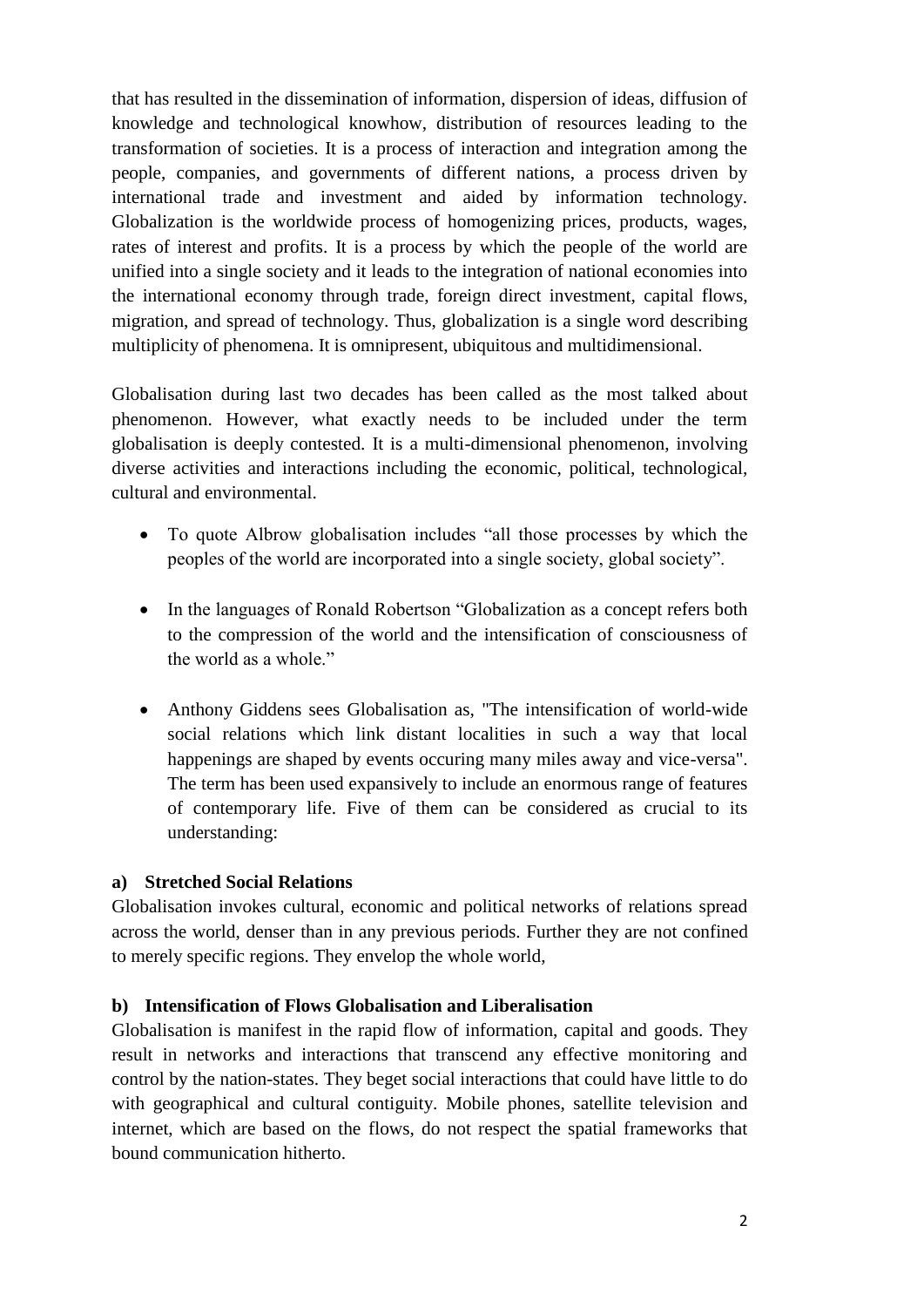Check your progress 1.1

Note:

- i. Write your answer in the space given below
- ii. Compare your answer with the one given at the end of this Unit.

Q1. Define Globalisation? Ans-

# **1.5 LET US SUM UP**

- Globalisation is a term that has been used to explain the integration of the world, in multiple ways – economic, political, cultural, technological and geographic.
- Globalisation includes "all those processes by which the peoples of the world are incorporated into a single society, global society".
- Globalisation is manifest in the rapid flow of information, capital and goods. They result in networks and interactions that transcend any effective monitoring and control by the nation-states.
- The General Agreement on Trade in Services (1995), of the World Trade Organisation counts education as a commercial service that can be exported, thereby expanding its global outreach.
- The process of Globalisation has hitherto been accompanied by a strong dose of Arnericanisation manifest in such symbols as 'Coca-Cola' and 'Macdonald' and has reinforced its influence over the other regions of the world.

## **1.6 GLOSSARY**

**Globalisation:** Globalization means the speedup of movements and exchanges (of human beings, goods, and services, capital, technologies or cultural practices) all over the planet. One of the effects of globalization is that it promotes and increases interactions between different regions and populations around the globe.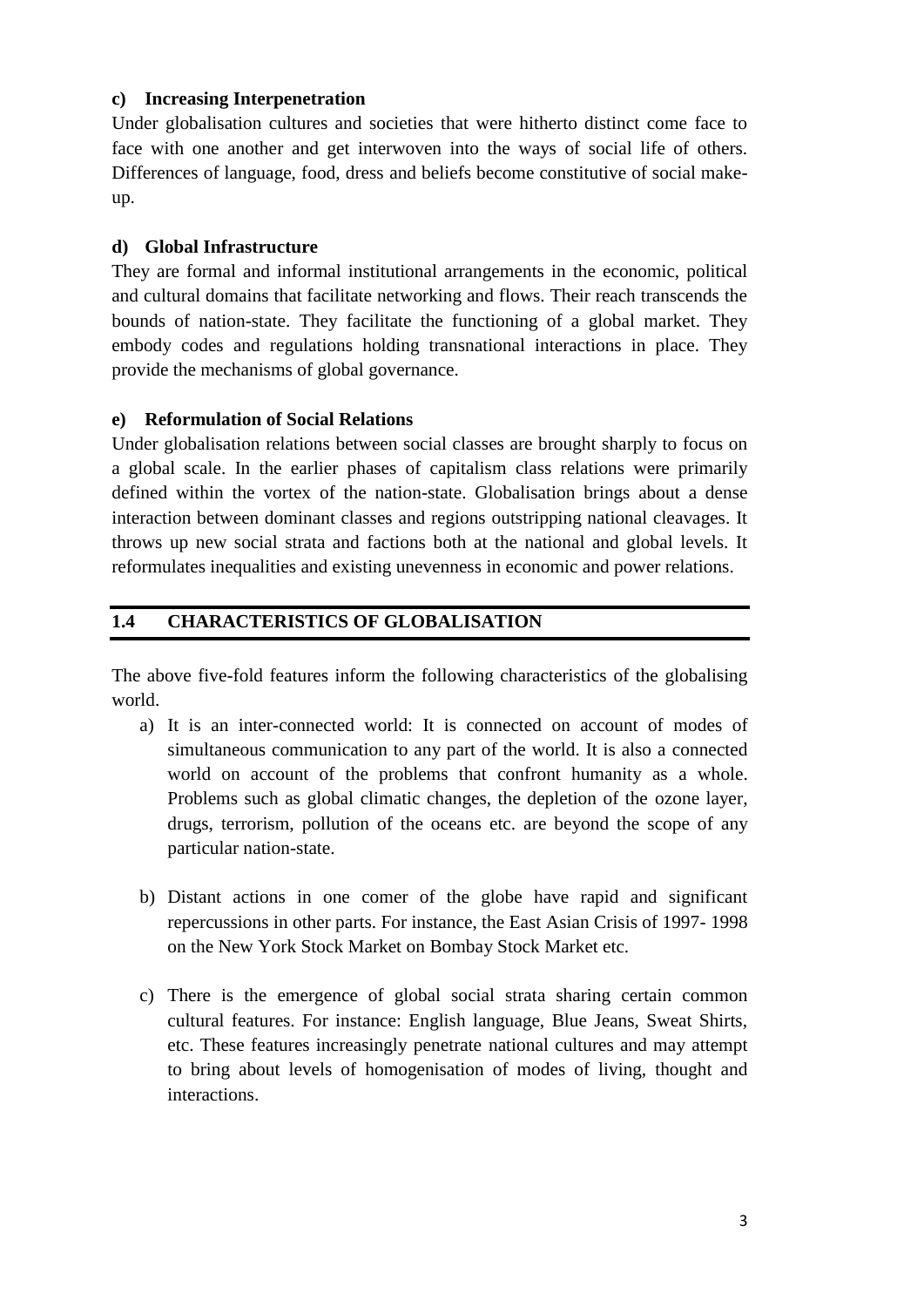**Neoliberalism:** A political approach that favours free-market capitalism, deregulation, and reduction in government spending.

**Privatisation:** The transfer of ownership, property or business from the government to the private sector is termed privatization.

#### **1.7 CHECK YOUR PROGRESS: ANSWER KEYS**

Ans to Q1- Globalization as a concept refers both to the compression of the world and the intensification of consciousness of the world as a whole.

#### **1.8 MODEL QUESTIONS**

- 1. What is globalisation; give some important definitions of globalisation?
- 2. Delineate the characteristics of globalisation.

#### **1.9 REFERENCES**

- 1. Mehra, Sohan S. (2012) Modernisation, Globalisation and Social Transformation, Creon Publications
- 2. Vago, Steven (2003) Social Change, Pearson
- 3. Charlton, Bruce and Andras, Peter (2003) The Modernization Imperative, Exeter
- 4. Frieden, Jeffry E.(2007) Global Capitalism It's Fall and Rise in the Twentieth Century, W. W. Norton & Company
- 5. Amin, Samir (2014) Capitalism in the Age of Globalization: The Management of Contemporary Society (Critique. Influence. Change) , Zed Books Ltd
- 6. Bhagwati, Jagdish N. In Defence of Globalisation (2004), Oxford University Press
- 7. Holton,R.J. (1998) Globalization and the Nation-State Palgrave Macmillan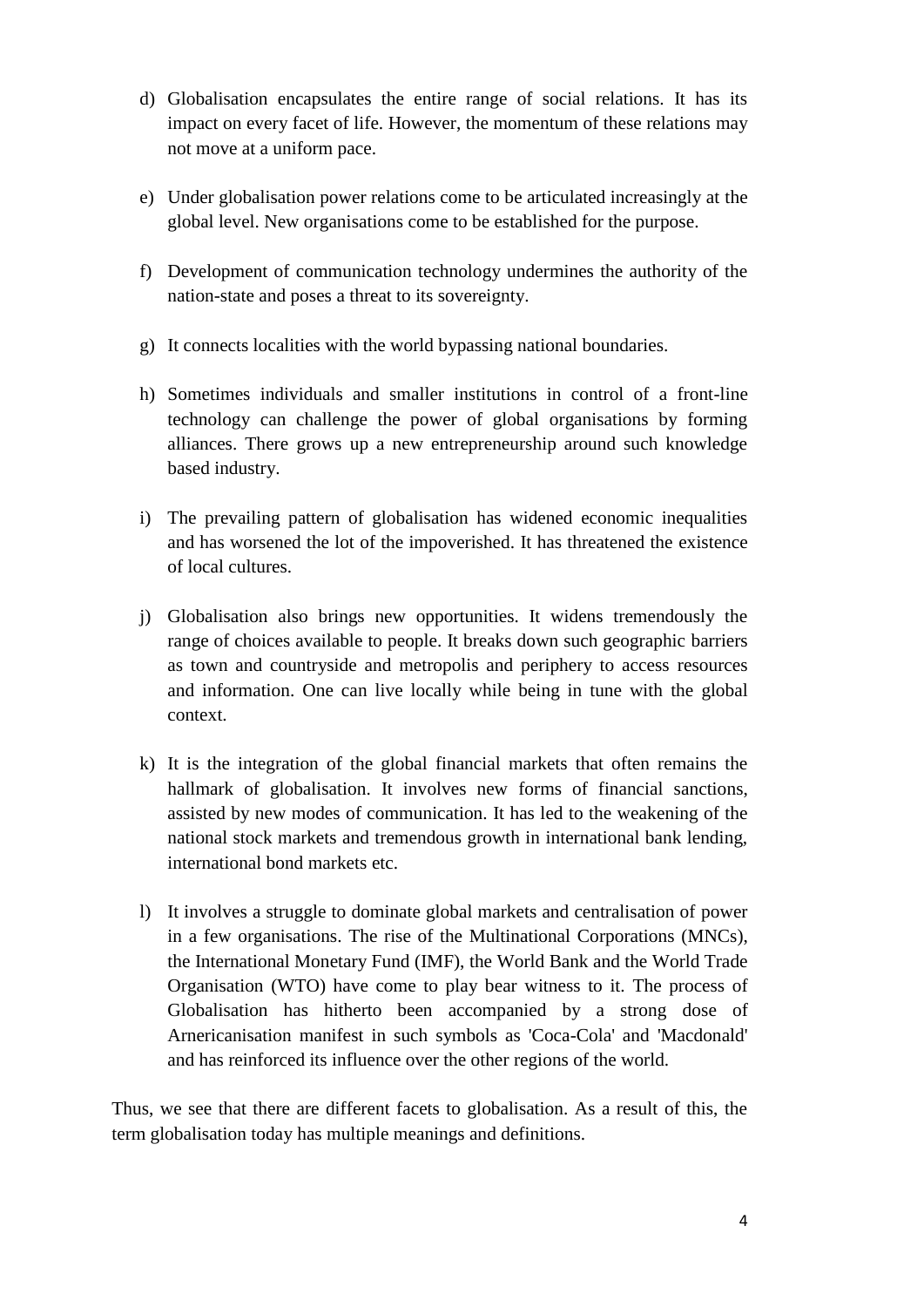# **UNIT- 2 EMERGENCE OF GLOBALISATION**

#### **Structure**

- 2.1 Introduction
- 2.2 Learning Objectives
- 2.3 Globalisation and its History: An Introduction
- 2.4 Origin of globalisation
- 2.5 Modern World-System: Phase I
- 2.6 Modern World-System: Phase II
- 2.7 Let Us Sum Up
- 2.8 Glossary
- 2.9 Check your Progress
- 2.10 Model questions
- 2.11 References

## **2.1 INTRODUCTION**

This Unit will look at the many definitions of globalisation in the coming paragraphs. However, its main focus will be on the history of globalisation, specifically economic globalisation, its origin, and its different phases given its place in the globalisation discourse.

### **2.2 LEARNING OBJECTIVES**

After reading this unit, you will be able to;

- Understand the history of globalisation
- Define the various forms of globalisation
- Explain the origin of globalisation
- Explain the different phase of modern world-system

## **2.3 GLOBALISATION AND ITS HISTORY: AN INTRODUCTION**

Globalisation is a term that has been used to explain the integration of the world, in multiple ways – economic, political, cultural, technological and geographic. Though globalisation cannot and must not be limited to mean economic integration of the world, the term globalisation has been, over the years, seen to be synonymous with economic globalisation. Additionally, as we shall see, globalisation must not be seen as the monopoly of Europe and the West, since in the past centuries, influences from the East have also made their way Westwards. Today, the revolution in electronic and communication technology, has greatly expanded the reach of globalisation.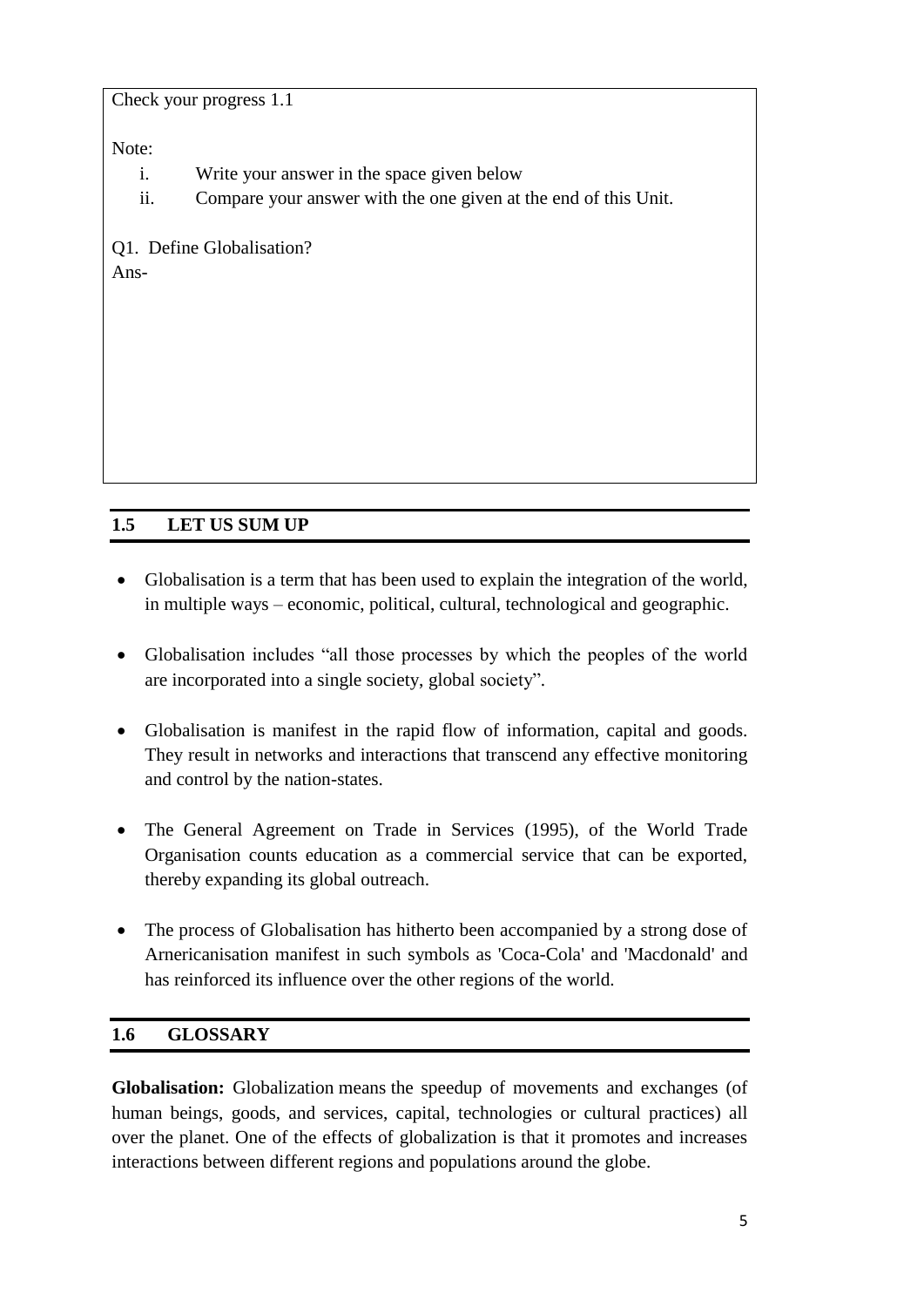The term 'global village' is a jargon apt for usage in the global era that we live in. Coined by Marshall McLuhan (1962), it notes the integration of people all over the world through the speedy passing of information, via the medium of electronic technology.

The term globalisation has been a subject of discussion in the international political, economic, social and development contexts. Though advocates of neoliberalism and open markets support globalisation as the means to economic prosperity for the masses, and its opponents blame it and the force that spread it across the globe, i.e. capitalism, for increasing inequalities in the world, there is no consensus on what exactly the term means and when it originated. There are many definitions of the term and there are different academic views on when globalisation began, though some of these views, such as that of Wallerstein's world -systems analysis, have gained more academic momentum than others. In its current form, however, globalisation is the result of a conscious policy decision in the 1990s by governments in Asia, Africa and Latin America some even earlier to restructure their economies and open their markets to the world.

Before we go into the history of this term, it is important to understand the meaning of the term globalisation. Globalisation in its simplest present-day definition is the movement of people, capital and goods. It is also seen as a process that has increased the integration and inter-connectedness of countries and people around the world. Some academics consider globalisation to be as old as primitive man. For, it is the migration of the primitive man across continents that established human settlements in different parts of the world. There is obviously a significant difference between the migration of primitive man, as a characteristic of globalisation, and the internationally recognised aspect of macro-economic policy changes, that have made the world a more interconnected place and brought about multiple forms of integration.

While economic globalisation has taken centre-stage in the discussions surrounding the term globalisation, today more aspects of globalisation are given their place in globalisation discourse. Ritzer (2009) notes that there are many types of globalisations, and though they are heavily influenced by economic considerations, each has its own peculiar trait. Political globalisation emphasises the global nature of political relations and the role of political organisations such as the United Nations, regional groupings such as the ASEAN and the NAFTA and even terrorist organisations such as the Al Qaeda, each of whose actions and policies has a global impact. Cultural globalisation refers to the global impact of cultural influences from particular nations – such as food, music, television shows, art and aesthetics and films. These cannot be limited to the borders of a nation-state, but have travelled beyond them and some have even become a part of or influenced foreign cultures. For example, Bollywood movies have a fan following of Indians not just in India and around the world, but of non-Indians as well.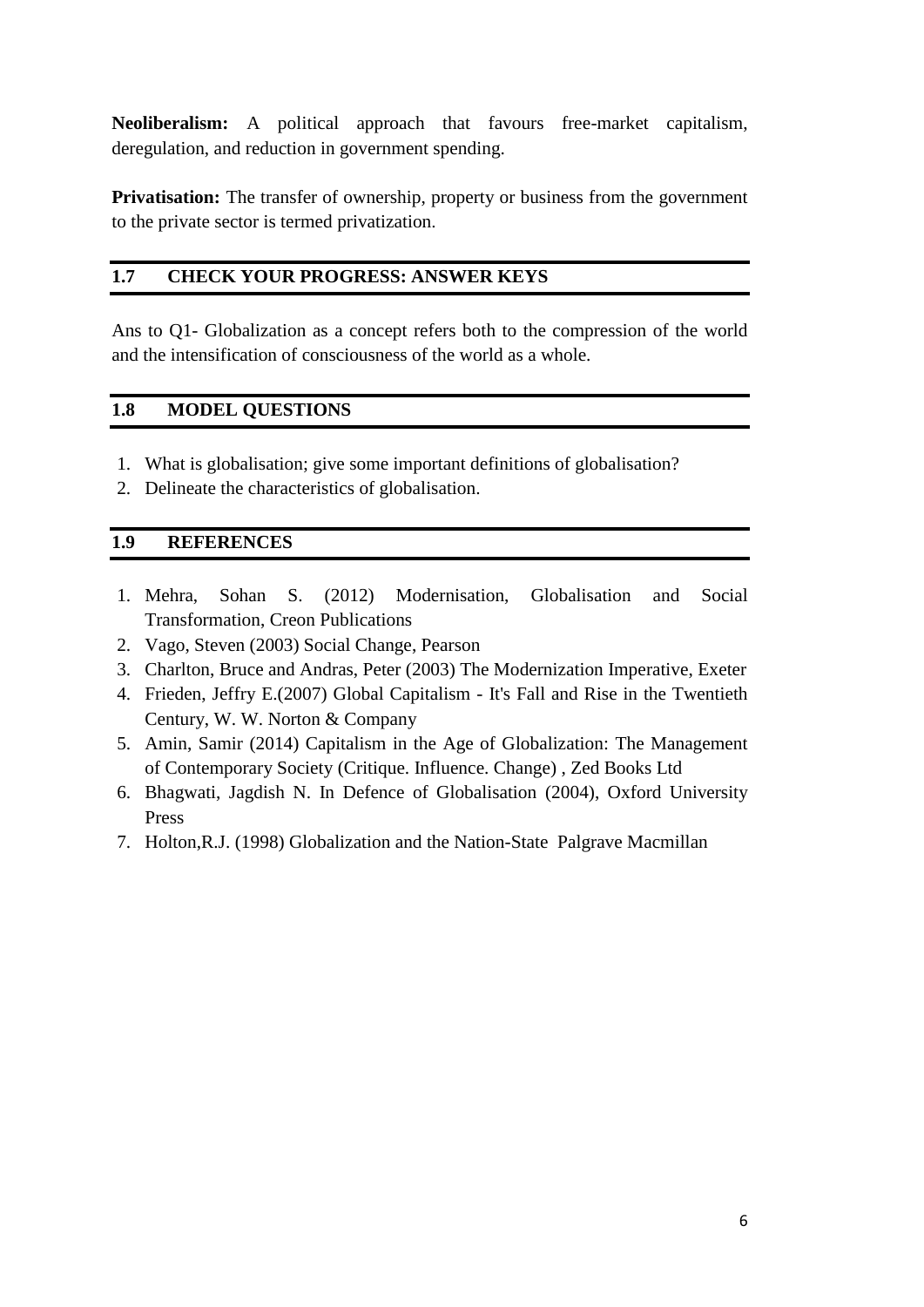The next type of globalisation is based on religion because, according to Ritzer (2009), most religions of the world seek to have a global presence and following. Today, religion knows no boundaries. For instance, one can be a practicing Buddhist not just in Tibet or India, but in Europe or North America as well, as a result of the global influence of the sayings of the Dalai Lama. Ritzer (Ibid.) calls science a 'global enterprise' because much scientific knowledge that comes out today is based on information sourced from around the world. Though scientific knowledge began to be disseminated throughout the world since the early twentieth century, this has become even truer today, with the advent of the Internet. This is true also for health and medicine, which is the other basis of globalisation; since there are diseases which are common the worlds over; medicine which is the cure for them has a global reach. Sports and education are the other two areas which have been globalised. As far as sports is concerned, there are international bodies such as the International Cricket Council and competitions such as the Wimbledon Championships which are known the world over and have members/competitors from all over the world; moreover, the media has helped to spark a global interest in sports, even those which have not originated in one's own country of origin. Finally, education, especially higher education, has become globalised as well. Not only do many Western universities and colleges have online courses that can be accessed worldwide, but today, more young people travel abroad for higher studies. Moreover, the General Agreement on Trade in Services (1995), of the World Trade Organisation counts education as a commercial service that can be exported, thereby expanding its global outreach.

#### **2.4 ORIGIN OF GLOBALISATION**

Frank and Gills (1992) suggests that the history of the world system – they denote the term without the hyphen, unlike Wallerstein's denotation of the term - dates back to five thousand years and that the rise of Europe and the West are but recent and 'passing' phenomena in the history of the world-system. Moreover, they argue that some of the characteristics which were typical of the modern world system, actually existed much before its officially recognised period of emergence, as given by Emmanuel Wallerstein (1974). For example, unlike Wallerstein, Samir Amin (1975) and the dependency theorists, for Frank and Gills, capital accumulation, which is characteristic of the modern world system, has existed for many thousand years before the world-systems analysis's attribution of the Middle Ages as its origin.

Wallerstein calls previous systems as 'world empires' and Amin calls them 'tributaries' where 'political and ideological' rather than economic unity – which is characteristic of the world-system - was predominant. Moreover, the dependency theorists' emphasis on the core-periphery angle in the modern world system, in which surplus is transferred from the periphery regions to the core regions, is something that Frank and Gills note could have existed in world systems before the rise of the modern world system. According to Frank and Gills, while Wallerstein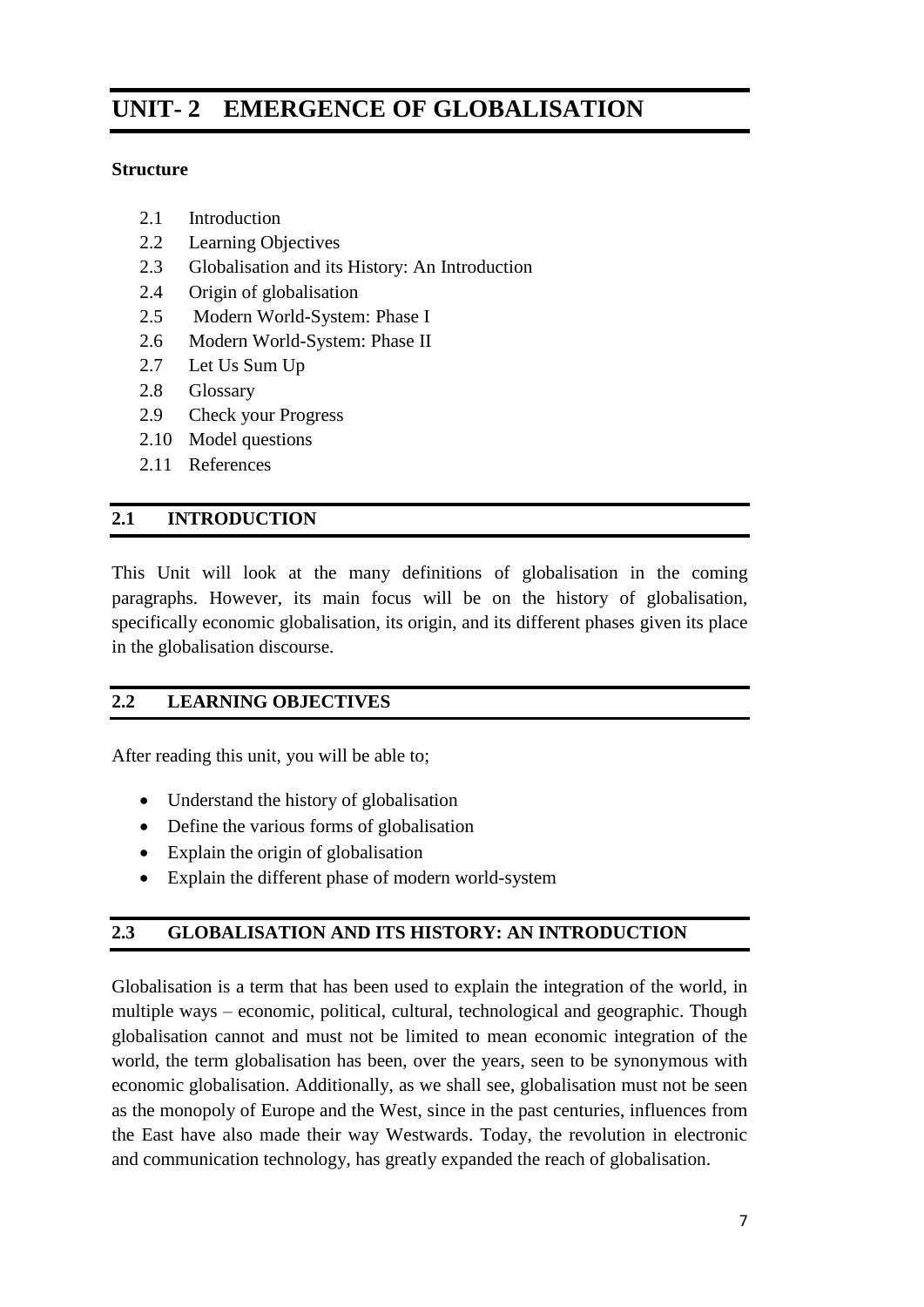and others consider the modern world system to be cyclical, in that core-periphery relationships keep changing and so do world system hegemonies and rivalries, they believe that such cycles existed long before the academically recognised origin of the modern world system.

Sen (2002) notes that globalisation need not necessarily be seen as 'global westernisation'. Rather, if one were to look at the causes of globalisation, then one needs to go back to the beginning of 1000 AD. Around this time, more than Western influences, it was advancements in the East - in China, India and the Arabic world that found their way to and became an integral part of Western culture. Around 1000 AD, China had already made advancements in simple technology. For instance, the Chinese had already invented 'paper, the printing press, the crossbow, gunpowder, the iron-chain suspension bridge, the kite, the magnetic compass, the wheelbarrow, and the rotary fan' (Ibid.). These innovations in technology were not known in other parts of the world, and according to Sen, it is globalisation that spread them to Europe. Similarly, the decimal system was originally invented in India and subsequently used by Arab mathematicians. Later, it found its way to Europe. In this way, Sen tries to make the point that in this integration of Asia and Europe, one sees the opposite of what is happening today, i.e. a movement of ideas, technology and innovation, from the East to the West. So, Sen notes that globalisation should not be considered the monopoly of the West or inherently a Western phenomenon.

Though Wallerstein's description of the origin of globalisation through his explanation of the modern world-system is considered Eurocentric and is not without its criticisms, it is acknowledged in academic circles as a good source to understand the origins of modern-day globalisation, as we know it. Wallerstein (1974) compares the emergence of the modern world-system to previous watersheds in 'world social science' such as the emergence of the Neolithic Man and the transformation from the Middle Ages to the Modern World. He calls these systems structures and sees changes in them as being qualitative in nature and resulting in a world vastly different from the one in the past. According to Wallerstein, there are there are four periods that any history of globalisation should concern itself with. These are: 1450- 1640 when the modern world-system first originated and was still confined to Europe; 1640-1815, when the modern world-system was strengthened by the activities of the system; 1815-1917, when industrial revolution and modern technology converted the 'world-economy into a global enterprise' and 1917 -1970s, when the capitalist world-economy was strengthened and the world began to witness the revolutionary urges to overthrow the capitalist world-system.

Wallerstein sought to distinguish the modern world-system from previous systems. According to him, the modern world-system is a world-economy, i.e. it is an economic unit with multiple political centres. Previous world-systems were, according to Wallerstein, political units such as 'empires, city-states and nationstates'. The modern world-system is a world-system because it is bigger in size than a political unit and it is a world-economy because of the existence of economic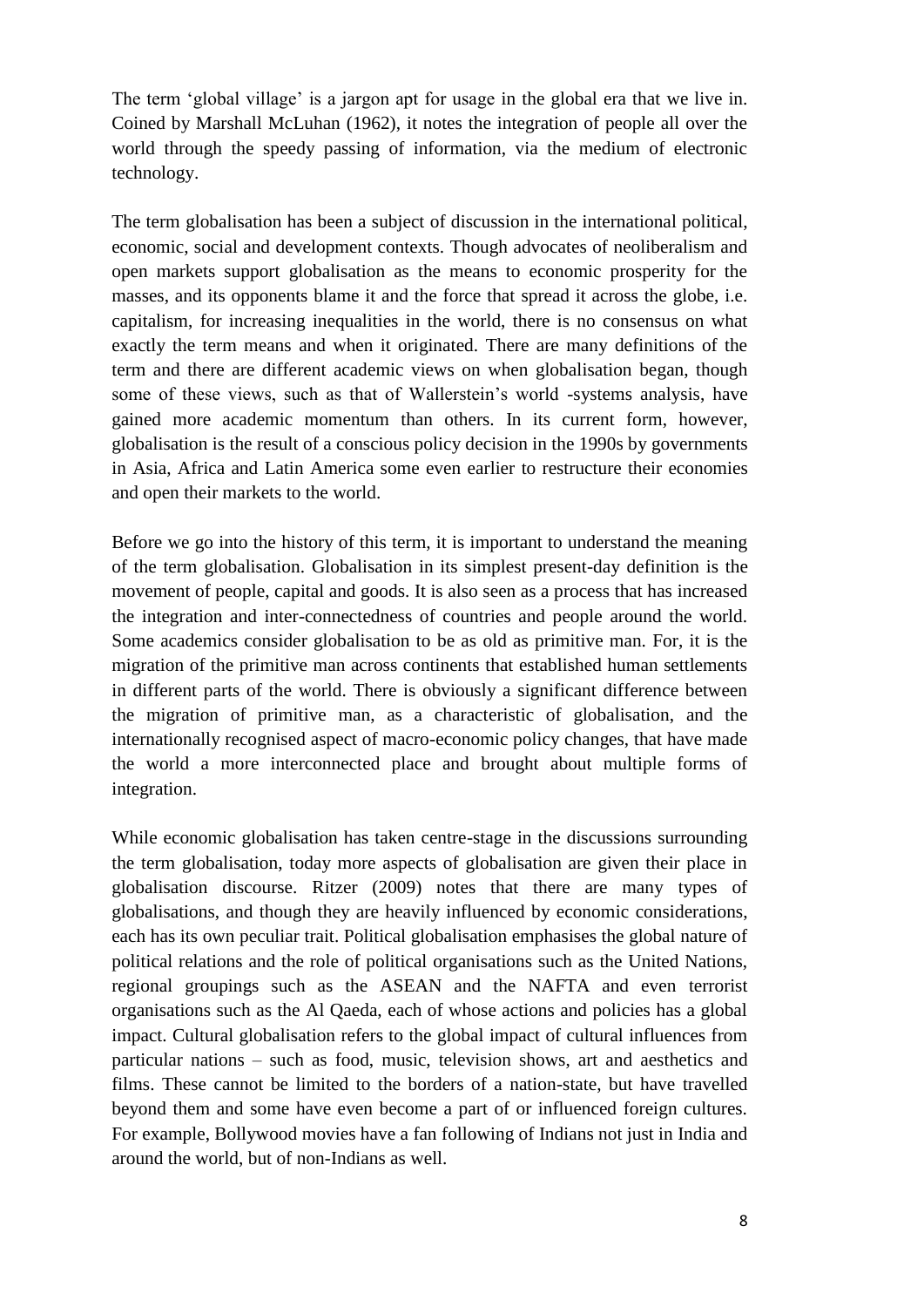interdependence, which got a boost through cultural and political ties between the parts of the system. This world-economy consolidated itself as a result of the advantages it had due to scientific and technological advances.

How did the modern world-system emerge? It was the consequence of a series of events which occurred between the twelfth and the fifteenth centuries in Northern Europe, when feudalism as the mode of social organisation was on its way out. There were various reasons for the collapse of feudalism but the predominant ones were (i) natural causes such as drastic climatic changes which made traditional crop cultivation difficult and an outbreak of bubonic plague that killed several thousands and (ii) a crisis of the economic base of feudalism, which exposed the internal contradictions in its superstructure and finally led to its collapse. The economic base of the feudal system was based on the unjust principle of landlords monopolising the land and the judicial system and to whom the peasants had to sell their surplus. As far as the superstructure was concerned, the clergy and the feudal aristocracy were in conflict with each other in regard to the question of who held more power.

These problems were compounded by the rapid increase in population whose demands could not be met by the limited technological advancement of the time; at the same time the peasants had to sell additional surplus to the landlords given that Europe was embroiled in wars, and the army had to be maintained. Consequently, the expenditure of the feudal aristocracy increased in an unsustainable manner. Many peasants migrated from the villages to the towns where they engaged in the urban local crafts economy. In this relatively new set up, local trade began to expand and grow, and along with it came more urbanisation and population growth. However, as a result of the wars being fought in Europe, the economy could not flourish as most of the surplus went in the upkeep of the army.

Taxing the peasants for the maintenance of the army was an extra economic burden on the peasants over and above their traditional feudal obligation of selling their surplus to the landlords. This resulted in peasant revolts against the feudal nobility. As mentioned earlier, the superstructure was already weak, with the Church and the rulers in conflict with each other and struggling to hold on to power. The weakening of the base and superstructure of the feudal system ultimately resulted in its demise. With the feudal system cracking at the base, new modes of production came into place gradually. Chief amongst these were (i) the transformation from traditional, including subsistence patterns of agriculture, to commercial, cash crop agriculture, (ii) the growth of commerce and most significantly, (iii) the expansion of the European economy outside the borders of Europe to other parts of the world for business and for conquest.

The expansion of the European economy the world over was significant because it created the modern world-system, in which several different parts of the world have converged, or have been brought together, on the basis of economic linkages. It is in this process that we see the origins of globalisation as we know it today.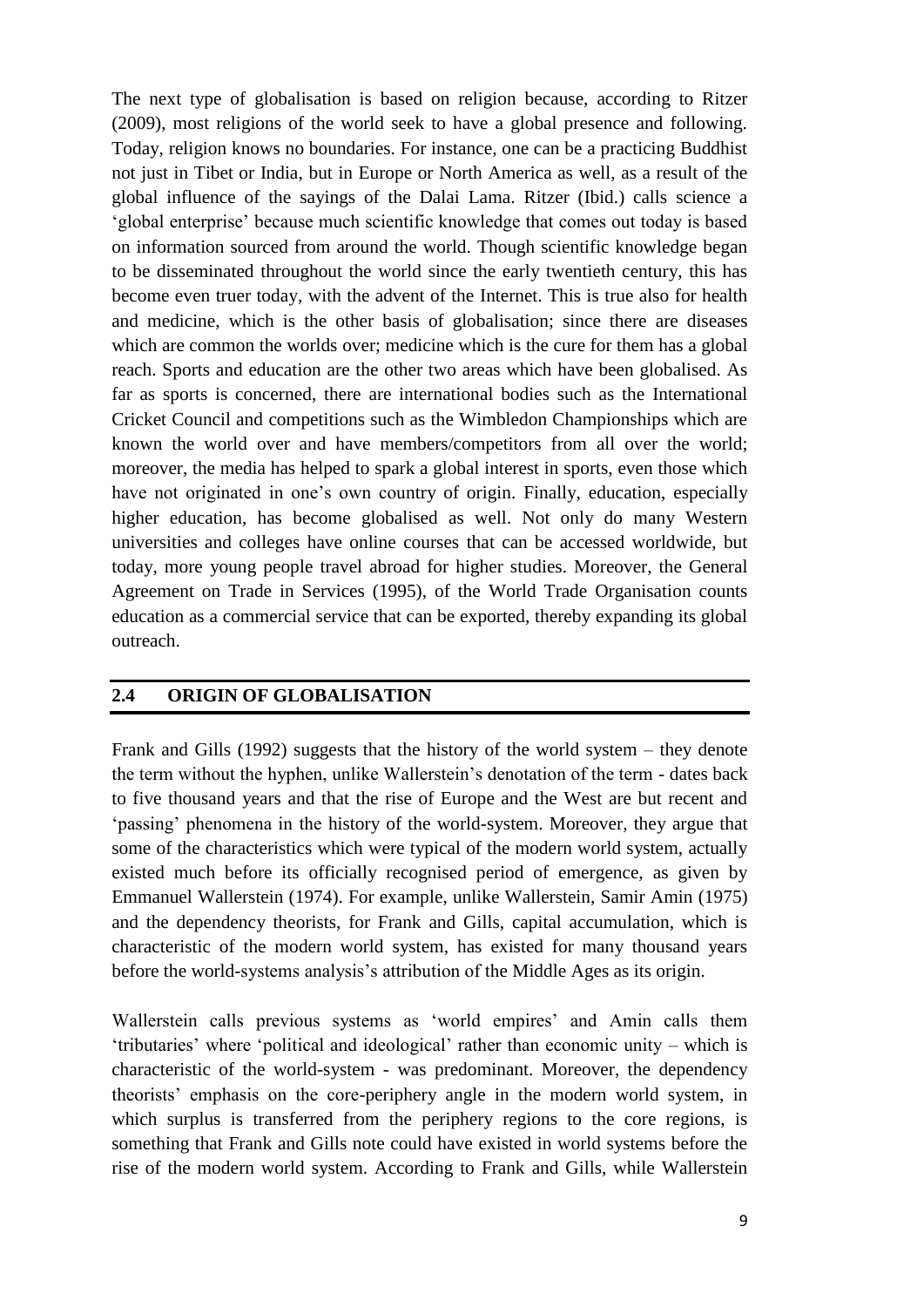Globalisation is perceived to be a relatively new term with an old history. Academic thinking on globalisation stretches from pre-modern times, to the Middle Ages, Modern Age and finally the contemporary period. In the coming paragraphs, we shall see the history of globalisation beginning from the Middle Ages. While economic self-reliance and capital accumulation have been motivating factors which resulted in globalisation as we know it today, these factors have also been the motor force behind what is today seen to be the political, cultural, technological and even military 'superiority' of the most advanced nations of the world.

### **Check your progress- 2.1**

Note:

i. Write your answer in the space given below

ii. Compare your answer with the one given at the end of this Unit.

Q1. What is cultural globalisation? Ans-

### **2.5 MODERN WORLD-SYSTEM: PHASE I**

How did the expansion of the European economy affect the rest of the world? Wallerstein (1974) notes that the main impact was the formation of an international division of labour in which the kind of labour one performed and the kind of economic activity one performed depended on which part of the world-system one belonged to. According to Wallerstein, the world was divided into three main regions, the core, the periphery and the semi-periphery, based on an unequal division of labour. In this unequal economic division of the world-system, we see the roots of (economic) globalisation, i.e. the process by which capitalism was spread across the world. According to Wallerstein, the modern world-system emerged in the early sixteenth century and consolidated itself by the middle of the seventeenth century.

When it first emerged, the core region, which was the area that benefited most from capitalist economic growth and the capitalist world-system, comprised of North Western Europe, primarily England, France and the Netherlands. The core region was marked by centralised governments or monarchs, a centralised administration and a strong army. In rural areas, the core region was characterised by the rise of independent farmers, who, with the end of feudalism, paid rents to work on the land. Additionally, many landless labourers were provided cheap wages for working on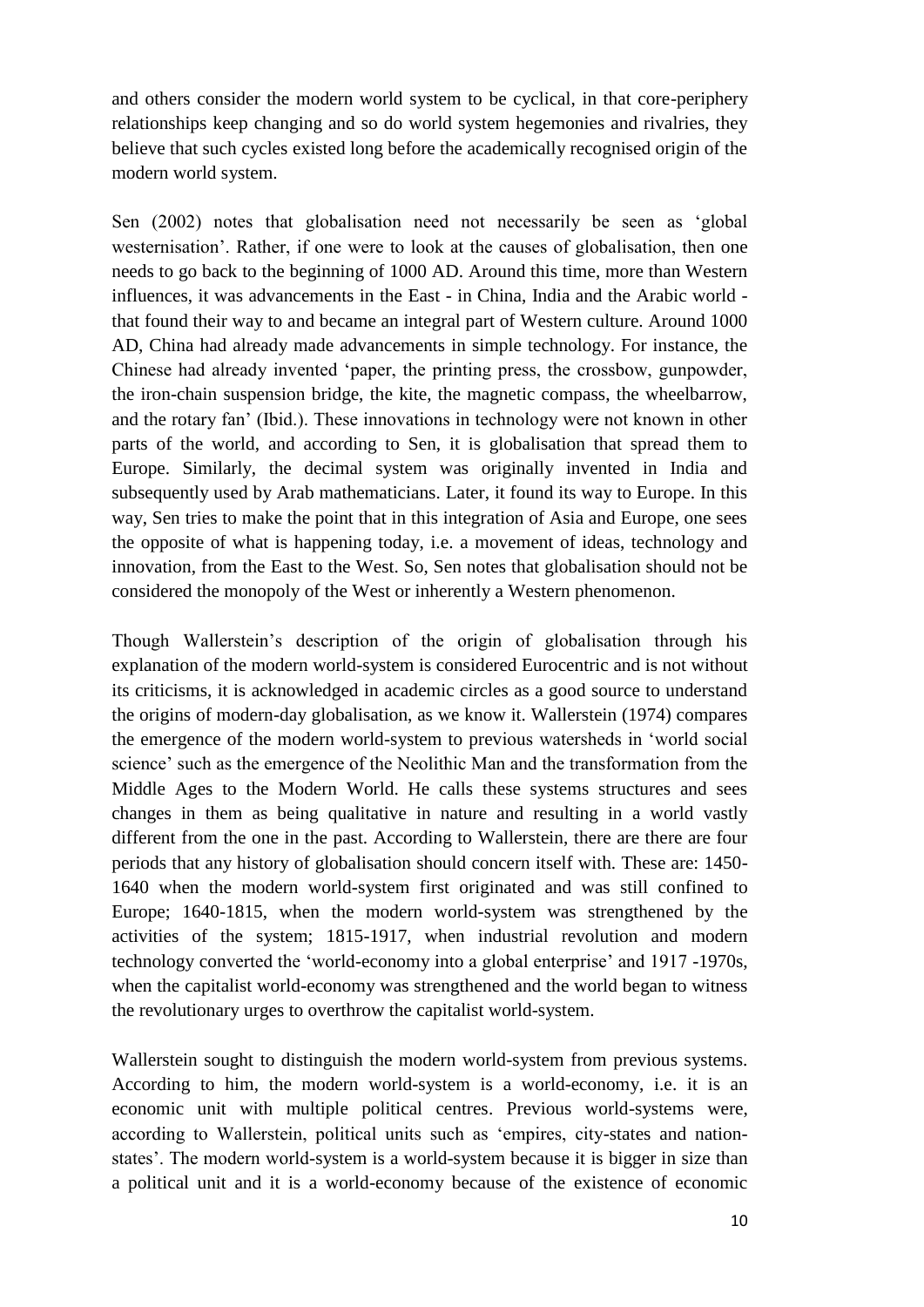the land. Those who could not find any jobs in the villages moved to the towns where they provided cheap, temporary labour for the urban local economy. With the rapid increase in technology, agriculture also expanded. As far as the urban bourgeoisie was concerned, they controlled much of the world trade and obtained the surpluses in the world-system.

The periphery region was controlled by the core region. Its economy depended on trade ties with the core region. The periphery lacked a strong state and bureaucracy and was often conquered and plundered by the core region states. Examples of peripheral areas when the world-system emerged were parts of Eastern Europe and Latin America. The labour in these areas was characterised by forced or bonded labour, debt peonage and slaves. Latin America which was conquered by Spain and Portugal had to contend with the weak administrative and political structures brought to the region by the Spanish and the Portuguese. The main function of the peripheral region was to export surplus, cheap labour, precious metals such as gold and silver, and raw material to the core region. What they produced was not generally for their own consumption but for the world-economy.

The semi-periphery lay between the core and the periphery. This region was characterised by core areas which had declined in economic growth or peripheral areas which were trying to better their economic status. Examples of semi-peripheral areas included South Western Europe, Spain and Portugal, Southern France, Germany and Italy. The governments in this region were weak, while the landlord class was strong. This region had better access to international commerce and high quality manufactured products in the world-economy though it was not to the extent that the core region had. In the rural areas, this region was characterised by sharecropping. The semi-periphery region tended to extract surpluses from its peripheral colonies. For instance, Spain and Portugal treated the regions of Latin America that they had conquered as the source of precious metals like gold and silver, which they used to pay for the manufactured goods they bought through their trade with the core regions.

There was one other region that Wallerstein described and that was the external area, which lay outside the international world-economy. Examples of external areas included Russia, interior Africa, South Asia and the Ottoman Empire. From this division of the world into core, periphery and semi-periphery, we can conclude that core was economically strong with a strong state and bourgeoisie, wage labourers and self-employment, the semi-periphery was economically weak and characterised by sharecroppers and landless labourers and the periphery was economically weakest, and characterised by forced labour and feudal system.

In the capitalist world-system the international division of labour was structured in such a way that the surplus could be extracted from the semi-peripheral and peripheral regions for the benefit of the core region. Had this international division of labour not existed, the capitalist world-system would not have been able to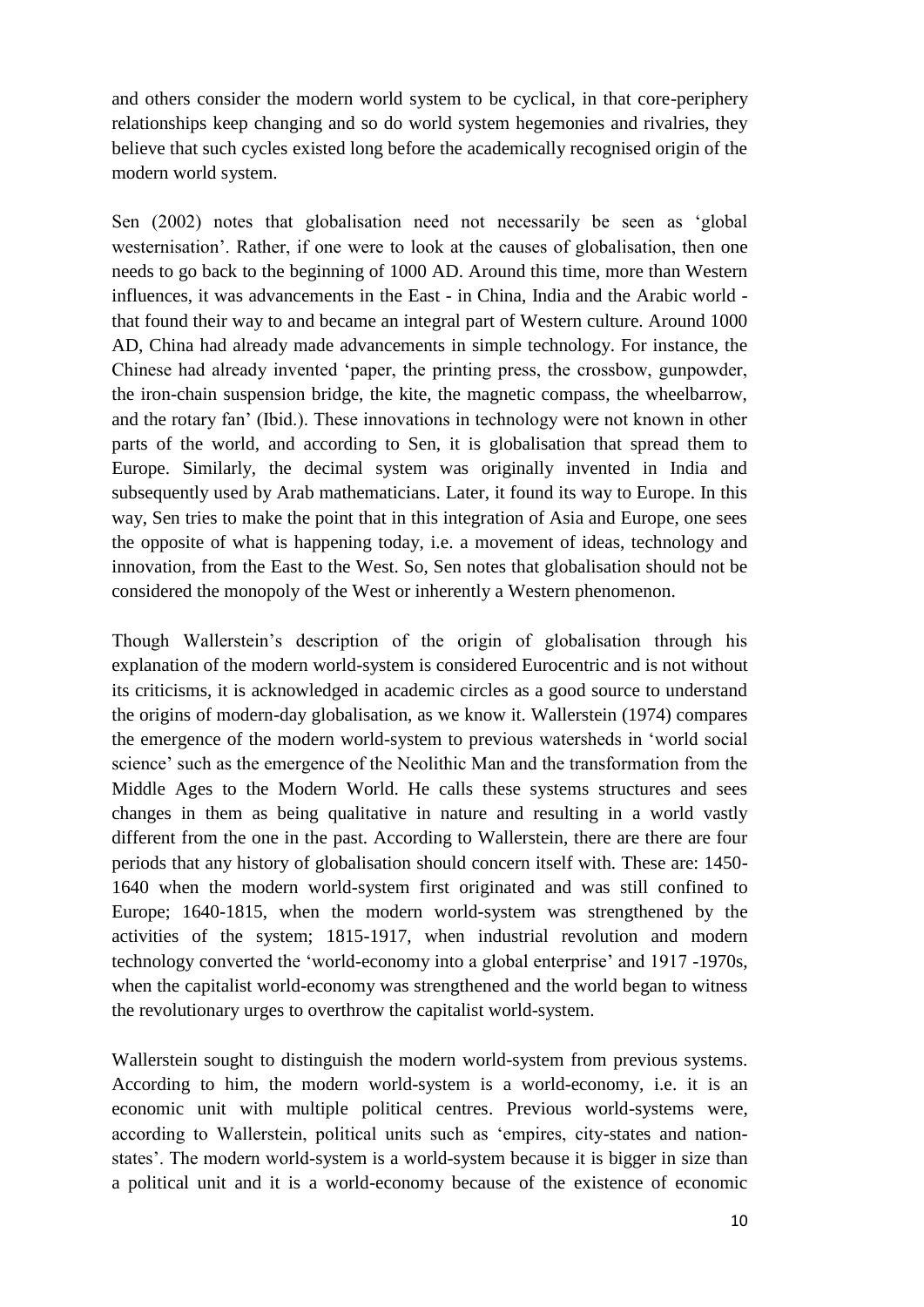consolidate itself. Moreover, the type of labour and mode of production that a region was characterised by was also a reflection of the strength of the governments in that region and of the domestic bourgeoisie. So, in the core region, where manufacturing and wage labour thrived, the state was strong, had a bureaucracy for centralised control and an army to protect against invasions, so that the bourgeoisie could concentrate their energies on commerce and growth. Likewise, in the peripheral region, characterised by feudalism and coerced labour such as slavery, the state was weak, there was no domestic bourgeoisie, and this region produced for the international market rather than for the domestic one.

Between the middle of the fifteenth and seventeenth centuries (1450-1670), politically, with the fall of feudalism, feudal lords and princes began to lose their prominence and government began to be centralised. The bourgeoisie preferred supporting a centralised government structure, like a monarch who would be assisted by a bureaucracy, to overcome the threat of the feudal system. In return for bourgeois support, the monarch agreed to support their economic pursuits, by maintaining law and order, allowing monopolies in trade – an example being the East India Company, which had the monopoly of trade in India, as granted by the British monarch - and maintaining ports and securing them through strong navies so that the bourgeois class may expand trade outside European borders. The bourgeois class also helped to maintain the army to protect the state from external aggression. During this time, the Church lost its prominence, with the powers of taxation being transferred to the monarch. With the rise of the absolutist state, there was also an increased religious homogeneity and an identification of one's religion with that of the monarch's.

Accompanying the shift from feudal aristocracy to absolute monarchy were some important changes in belief systems. One was the struggle by the monarch to vest power with him/her through control over the state and its administrative, judicial and executive machinery. Once this occurred, the balance of power shifted from the Church to the monarch who became the most powerful person, though his/her power was limited as a result of the existence of interest groups such as the bourgeoisie and the clergy. The second major change was a shift from Catholicism to Protestantism through the elaborate process known as the Protestant Reformation. While corruption in the church was one issue, the bourgeois interest group saw the clergy as opposed to its interests and as supportive of the earlier feudal system. Additionally, with the Protestant Reformation, power was transferred from the Church to the monarch. Moreover, as has been shown by Max Weber's famous work, *Protestant Ethic and the Spirit of Capitalism*, Protestantism and the capitalist ideology were compatible.

#### **Check your progress 2.2**

Note:

i. Write your answer in the space given below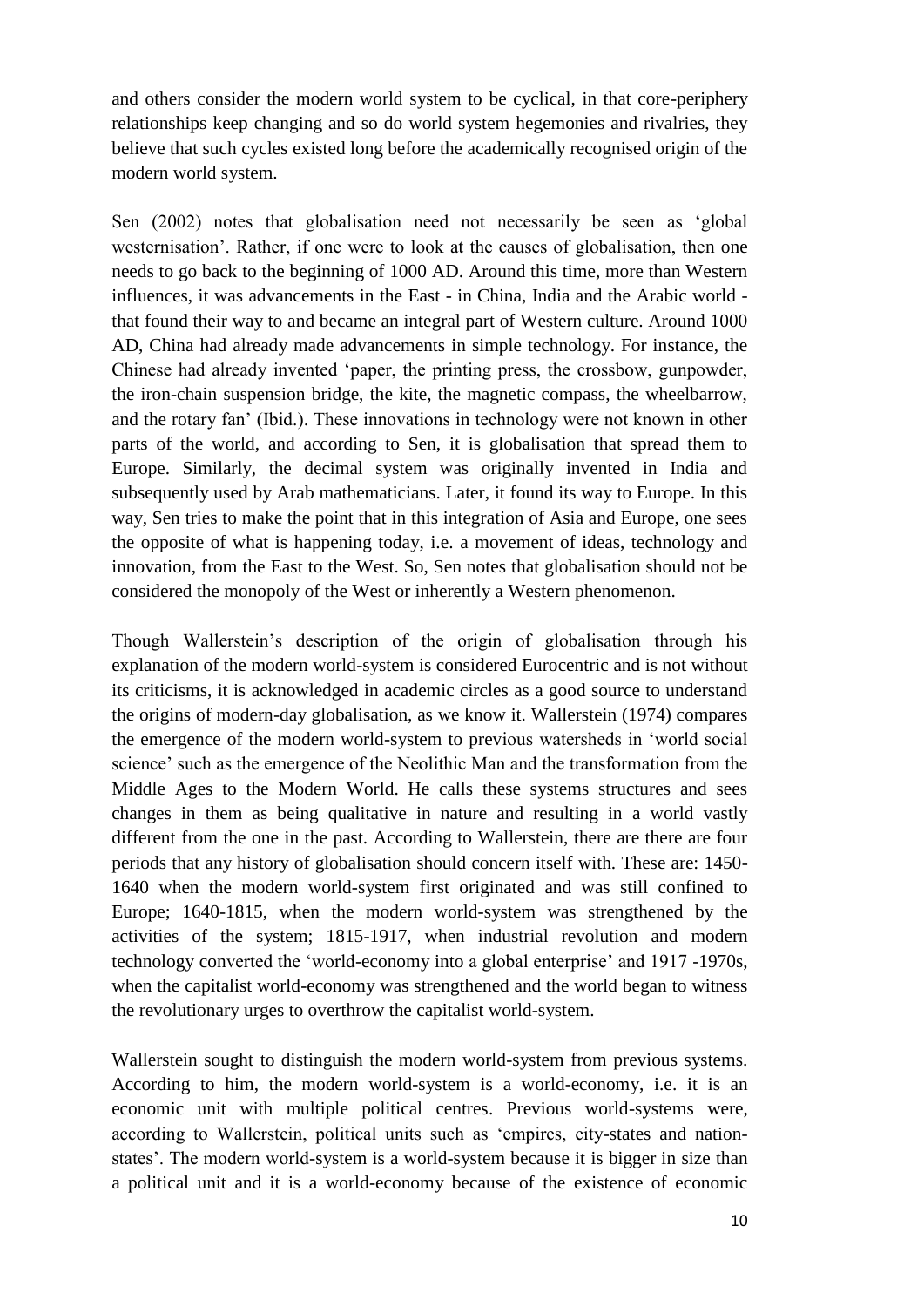ii. Compare your answer with the one given at the end of this Unit.

Q2. Who wrote the book *Protestant Ethic and the Spirit of Capitalism*? Ans-

The bourgeois played an important role in bringing about these changes. A key characteristic of the manner in which the bourgeoisie functioned was that they sought profits in any enterprise they undertook and used that profit to further expand that enterprise. It is in this behaviour, that one sees the origins of capitalist accumulation, which is characteristic of the modern world-system and the key process that led to its spread across the world, i.e. globalisation. The shift from the feudal to the capitalist system resulted in different modes of social organisation in North Western Europe. Where there were traditionally serfs or peasants who paid feudal taxes in the form of surplus to the landlords, now there were wage labourers, tenant farmers and enclosure farming for cash crops. In the towns, commercial transactions such as banking expanded. Paid workmen were hired on a contractual basis, thus creating the proletariat class. The market became the place where commodities, whether agricultural or cash crop, were sold for a profit. An outcome of these activities was that more people began to enter the market place, either as bourgeoisie or proletariat, for a share of the profit.

During this time, the bourgeois position was strengthened through their economic activities. Capitalist accumulation in the core states strengthened the position of the North Western European countries. The bourgeois in these countries consolidated their positions so that they did not have to depend on the monarch for their own sustenance. During this time, religion began to be of lesser importance and scientific thinking and new political thinking such as the rights of man began to be discussed in earnest. These new styles of thinking were more compatible with the bourgeois ideology.

## **2.6 MODERN WORLD-SYSTEM: PHASE II**

Between the seventeenth and nineteenth centuries (1640-1815), North Western Europe witnessed more changes. One of the most significant of these was the Industrial Revolution, when North Western European countries transformed from a predominantly agricultural to a predominantly industrial mode of production. As far as its economic relations with the rest of the world was concerned, Europe began to move from an initial focus on trade, towards conquering new areas to create markets and establish colonies. During this time, countries in Asia and Africa, which were new colonies of European states, entered the world-economy as peripheral areas.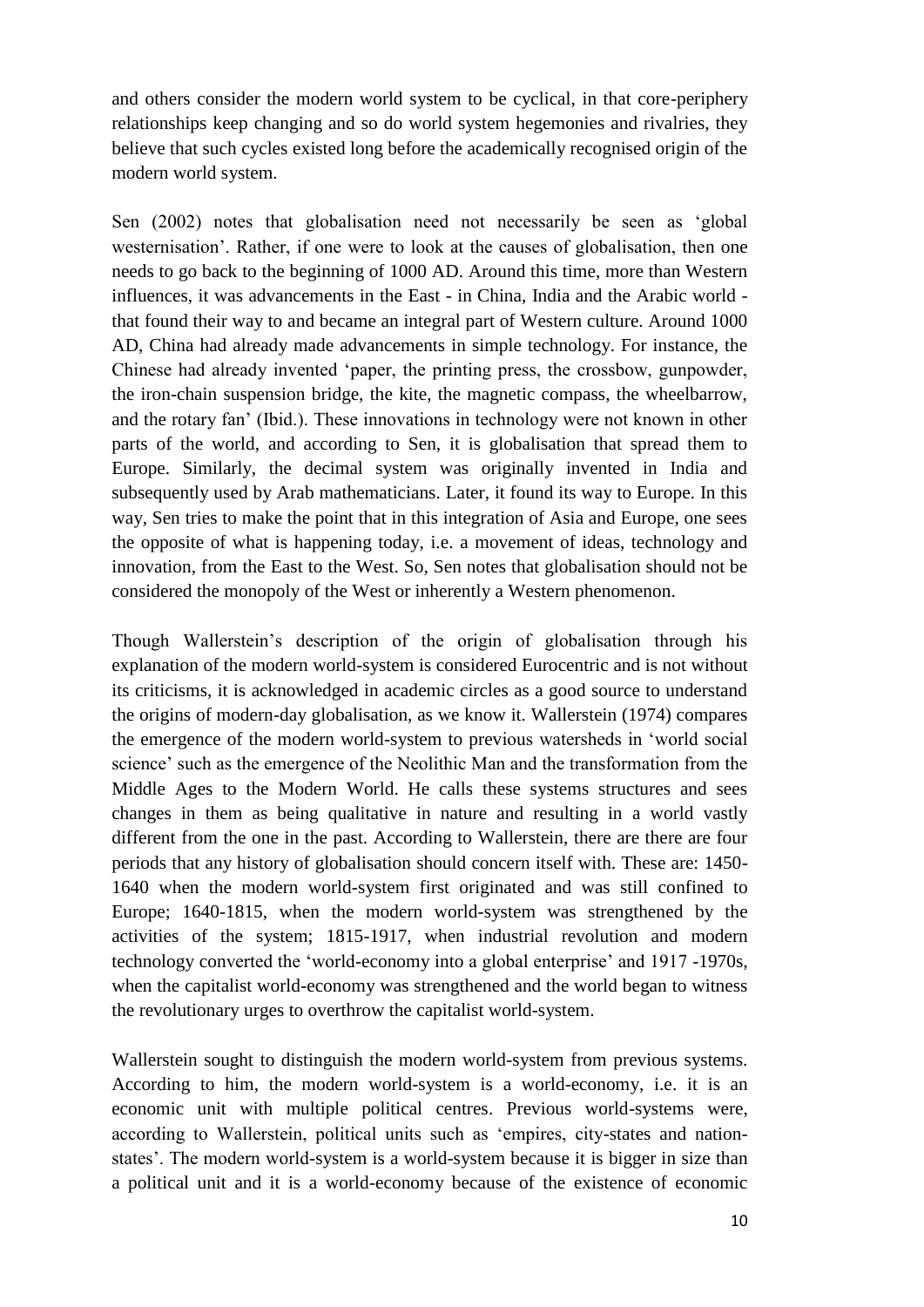With industrial capitalism as the predominant mode of production (base), came more changes in the superstructure. Technology became more advanced, the nation-state became the single most important unit of political and administrative power – no longer the monarch - and even the everyday life of people underwent a change as a result of increasing urbanisation, migration to urban areas, break up of large families and entry of more people into the working class category.

The core regions of the world were industrially more advanced than those of the periphery and semi-periphery. The main characteristic of industrialisation, when it first emerged, was that the mode of production had shifted from the use of human power to the use of fossil fuels like coal and natural gas. Typical of industrial societies was the existence of large factories. The pioneer in Industrial Revolution was England. The main features of the Industrial Revolution in England were the mechanisation of production, technological advancement and most importantly, the shift from labour system to factory system.

One of the main reasons why the Industrial Revolution began in England was because of the huge supplies existing there of a natural resource like coal, which was converted into steam – for use in the steam engine, for example. The use of coal helped England achieve advances in technology, innovation and industrialisation unlike any seen before. Not only was coal used for industries like paper manufacturing and arms and armaments, it was also used for domestic consumption. Homes required coal for heating. Various studies related to industrialisation in England in the eighteenth century have shown that the industrial consumption of coal outpaced that of domestic consumption. With the help of coal, the rail, steel and iron industries got a boost. These industries, also known as capital goods industries, surged forward in economic output in England in the nineteenth century.

Moreover, England had already in existence during its transformation into an industrial power, an established cotton industry, which benefited from technological inventions such as the power looms and spinning jennies. Cloth could thus be manufactured more quickly and then sold to a market, which included all of its colonies. Cheap cotton could also be sold within the domestic mass market. In fact, Eric Hobsbawm (1968) sees the advancement in the cotton industry as the first phase of the Industrial Revolution in England. In the first phase, mechanisation and innovation were not as advanced nor was labour skilled, unlike the second phase, when capital goods began to play a significant role in the industrialisation process.

After England, Germany, France and Belgium too became industrialised, with help from the state, which encouraged and promoted mechanisation and industrialisation. In Germany, for example, the increased mechanisation, better use of coal for industries and the establishment of a strong railway system for smooth transportation of people and commodities, led to a later industrial revolution.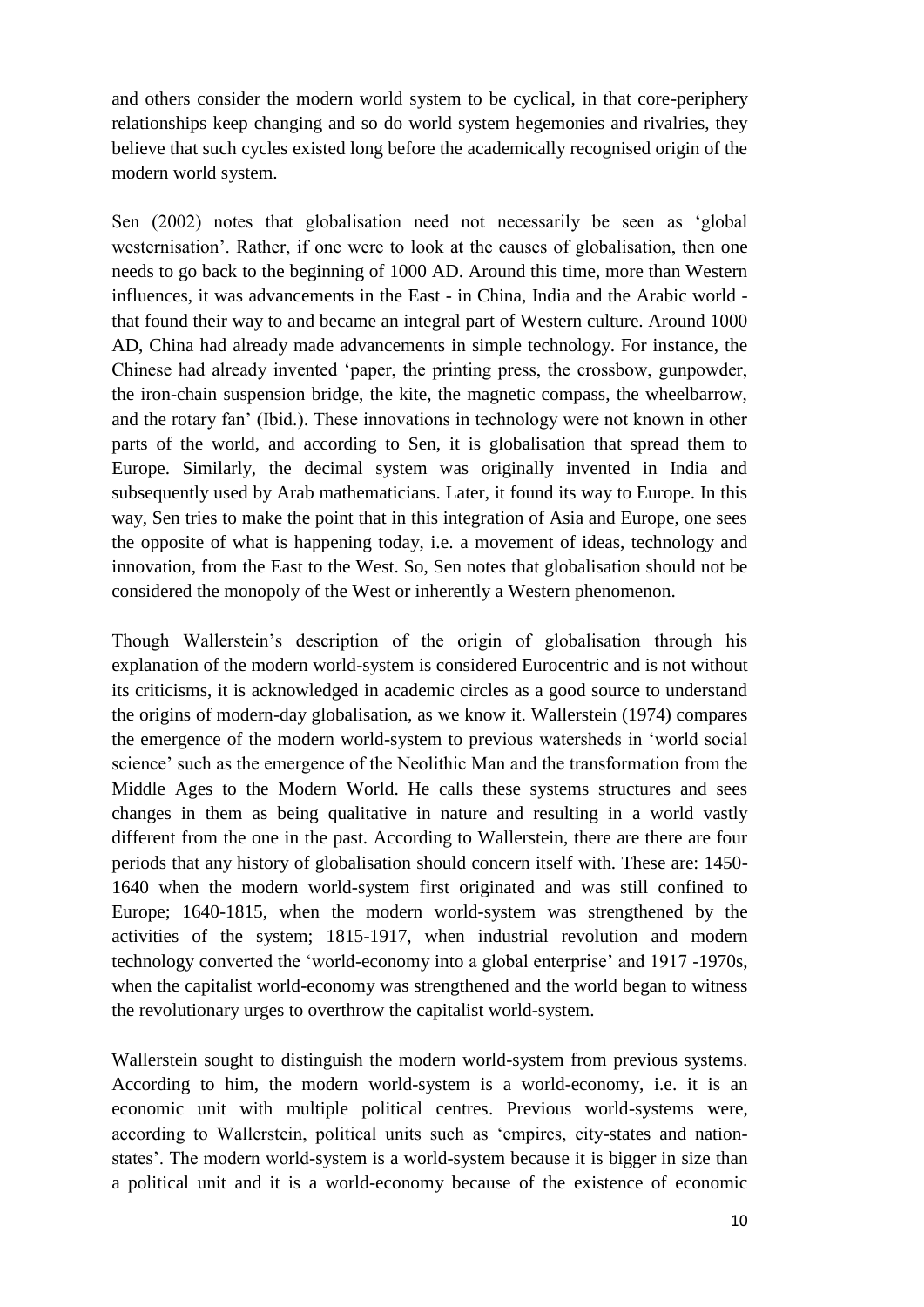Some of the characteristics of the core areas where the Industrial Revolution took place included the existence of private property rights through which profits could be made and invested, wage labour and the state's support for economic growth and bourgeois interests. In all these countries, the vast profits made from industrialisation were at the expense of the poor peasants and proletariats and the exploitation of colonies and slaves. To ensure a constant supply of surplus from the peripheral region, the core region imposed economic policies on it which were a drain on the natural wealth of these colonies. By the turn of the twentieth century, the colonial powers realised that boosting the growth of industries in the semi-peripheral and peripheral regions would be a sound economic policy to extract more money from them for the sale of machines to them at a high price.

In addition to the core European states, Japan and the United States of America were other countries that had caught up in the degree of industrialisation achieved. Whereas until World War II, England had the lead as far as industrialisation and economic advancement were concerned, by the end of World War II, the United States had overtaken her in political and economic strength. For the core regions of the world, industrialisation was not just a precursor to great economic power and subsequently political muscle in the international arena, but to employment and stability in their own countries as well. During this time, the North West European countries like the UK, Germany and France, and the United States and Japan dominated the core region, Southern and Eastern European countries, Scandinavia and parts of Spain were partly industrialised and therefore in the semi-periphery, and countries of Asia (excluding Japan), Africa and Latin America, which were the market for the finished goods from the core areas and which were not industrialised or whose industries performed poorly, were relegated to the periphery.

Some of the accompanying changes included, as mentioned earlier, an increase in the urbanisation process, with more people migrating from the villages to towns and cities in the hope of landing jobs in the factories. Subsequently, there were changes in the family structure and residence patterns; with increased migration to the towns, families and communities broke into smaller units, and nuclear family units became the norm. Advances in the field of medicine and increased employment as a result of industrialisation, resulted in a population explosion in Europe in the latter half of the eighteenth century.

After 1815, industrialisation further strengthened the globalisation process by creating institutions and encouraging belief systems the world over, which gave an impetus to the capitalist mode of accumulation. For example, in the colonies, the English colonial regime pushed for a shift from traditional to modern English education to enlist qualified but cheap

Indian officials in their colonial administrative system, on the one hand, and to create persons who were Indian in blood but English in thoughts. In other words, around the world, the capitalist system, whose requirements included a secular and modern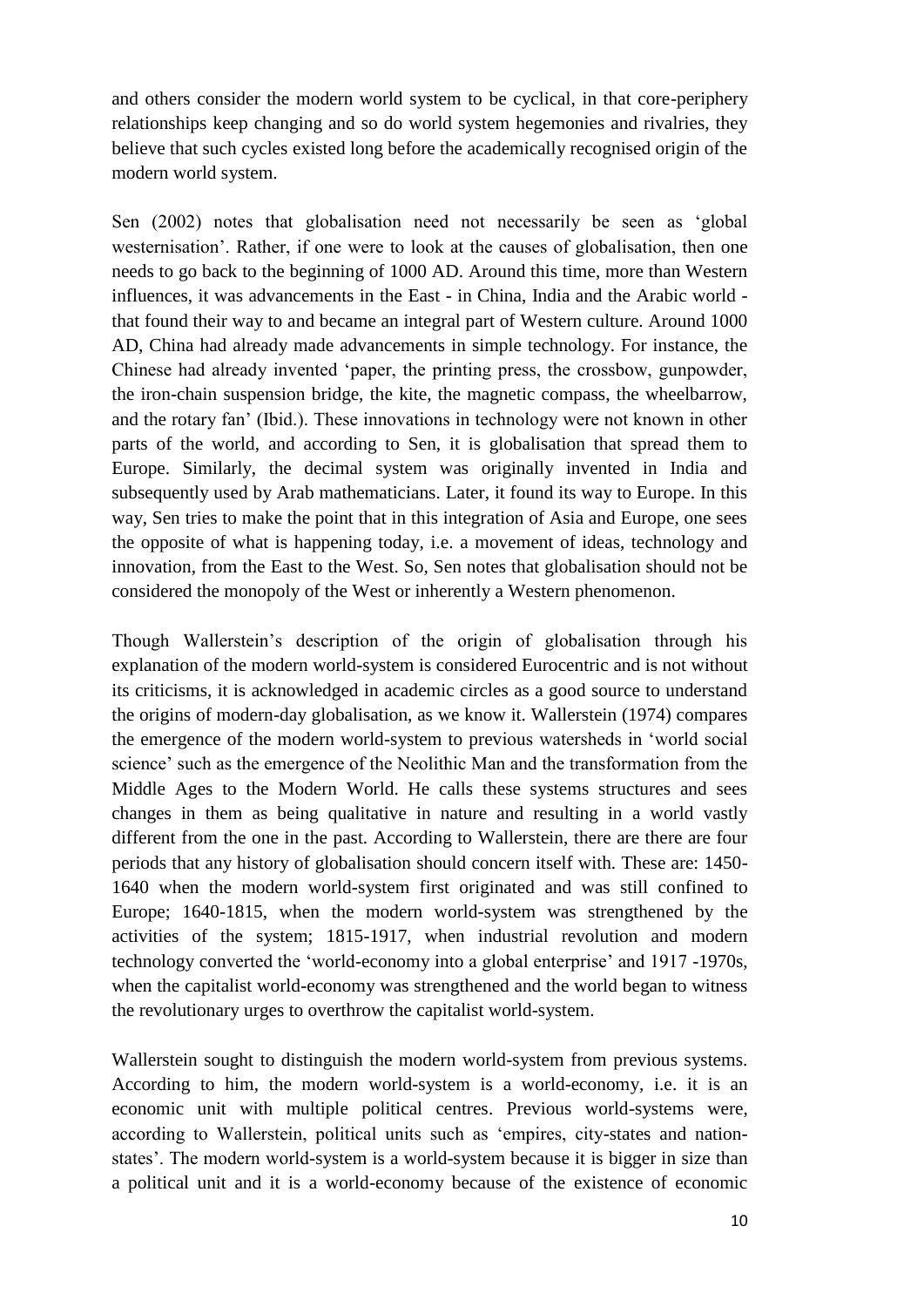outlook, respect for the rights of the individual, the need for private property etc. got a stimulus through these actions of the core countries. Needless to say, globalisation, which spread the process of capitalist accumulation around the world, gained further momentum, if not acceptance.

### **2.7 Let Us Sum Up**

- The term 'global village' is a jargon apt for usage in the global era that we live in. Coined by Marshall McLuhan (1962), it notes the integration of people all over the world through the speedy passing of information, via the medium of electronic technology.
- Political globalisation emphasises the global nature of political relations and the role of political organisations such as the United Nations, regional groupings such as the ASEAN and the NAFTA and even terrorist organisations such as the Al Qaeda, each of whose actions and policies has a global impact.
- Cultural globalisation refers to the global impact of cultural influences from particular nations – such as food, music, television shows, art and aesthetics and films.
- According to Wallerstein, political units such as 'empires, city-states and nationstates'.
- According to Wallerstein, the world was divided into three main regions, the core, the periphery and the semi-periphery, based on an unequal division of labour.
- Between the seventeenth and nineteenth centuries (1640-1815), North Western Europe witnessed more changes. One of the most significant of these was the Industrial Revolution, when North Western European countries transformed from a predominantly agricultural to a predominantly industrial mode of production.

### **2.8 GLOSSARY**

**Core**: the core includes major world powers and the country that contain much of the wealth of the planet

**Periphery**: it has those countries that are not reaping the benefit of global wealth and globalization.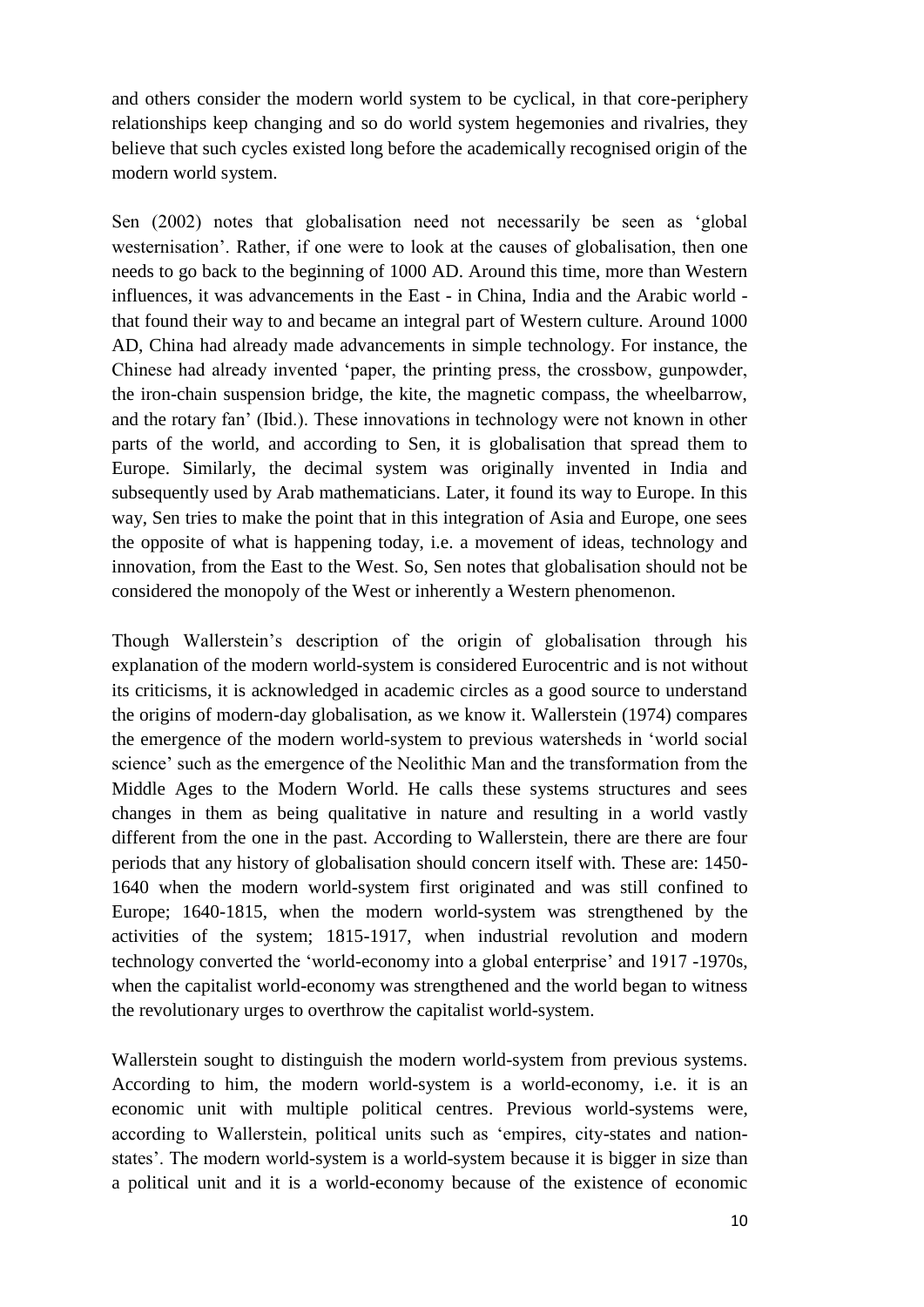**Semi Periphery:** semi-periphery countries are the industrializing, mostly capitalist countries which are positioned between the periphery and core countries. Semiperipheral countries contribute to the manufacturing and exportation of a variety of goods.

#### **2.9 CHECK YOUR PROGRESS: ANSWER KEYS**

Ans to Q1- Cultural globalisation refers to the global impact of cultural influences from particular nations – such as food, music, television shows, art and aesthetics and films.

Ans to Q2- Max Weber was wrote the book 'Protestant *Ethic and the Spirit of Capitalism'*.

## **2.10 MODEL QUESTIONS**

- 1. Briefly discuss about the historical emergence of globalisation.
- 2. Explain the Wallerstein's world system theory.
- 3. How did the expansion of the European economy affect the rest of the world?

#### **2.11 REFERENCE**

- 1. Frieden, Jeffry E.(2007) Global Capitalism It's Fall and Rise in the Twentieth Century, W. W. Norton & Company
- 2. Amin, Samir(2014) Capitalism in the Age of Globalization: The Management of Contemporary Society (Critique. Influence. Change) , Zed Books Ltd
- 3. Bhagwati, Jagdish N. In Defence of Globalisation(2004), Oxford University Press
- 4. Holton,R.J.(1998) Globalization and the Nation-State Palgrave Macmillan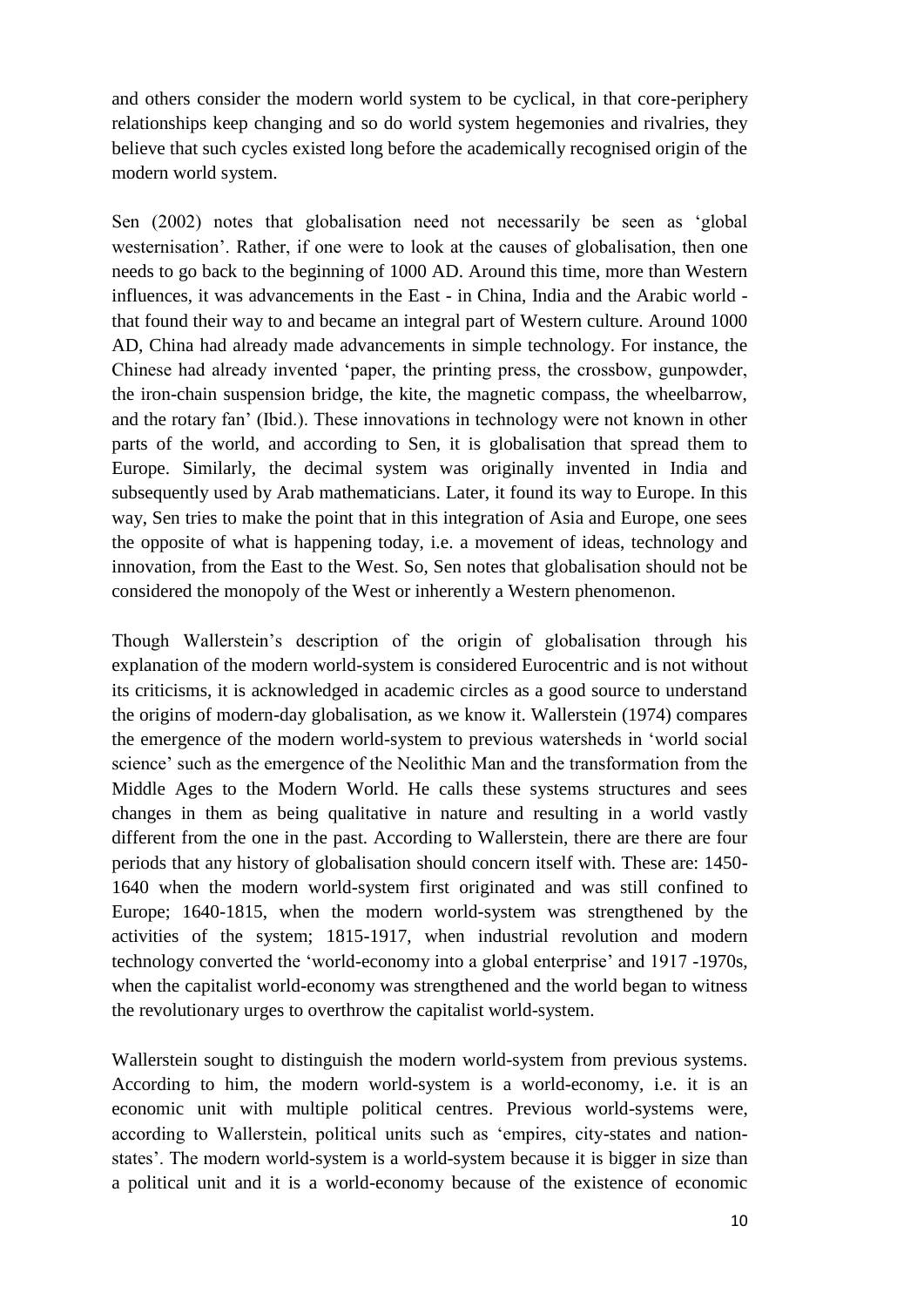# **UNIT -3 LIBERALISATION & PRIVATISATION: MEANING AND CHARACTERISTIC**

### **Structure**

- 3.1 Introduction
- 3.2 Learning Objectives
- 3.3 Liberalisation: Meaning and Approaches
- 3.4 Features of Liberalisation 3.4.1 Objectives of liberalisation in India
- 3.5 Impacts of Liberalisation in India
	- 3.5.1 Positive Impacts
	- 3.5.2 Negative Impacts
- 3.6 Privatisation
- 3.7 Forms of Privatisation
- 3.8 Features of Privatisation
- 3.9 Impact of Privatisation
- 3.10 Let Us Sum Up
- 3.11 Glossary
- 3.12 Check your Progress
- 3.13 Model questions
- 3.14 References

### **3.1 INTRODUCTION**

This unit focus on various meaning and approaches of liberalisation and privatisation. Liberalisation refers to a relaxation of government restrictions in the areas of social, political and economic policies. Privatization is closely associated with the phenomena of globalization and liberalization. Privatization is the transfer of control of ownership of economic resources from the public sector to the private sector. The present unit also deal with major features, forms, objectives and impact of both liberalisation and privatisation in India.

## **3.2 LEARNING OBJECTIVES**

After reading this unit, you will be able to;

- Understand the concept of Liberalisation , features and objectives
- To know the various positive and negative Impacts of Liberalisation in India
- To define the concept of privatisation and its various forms
- Explain the major features and objectives of privatisation
- To study the advantages of privatisation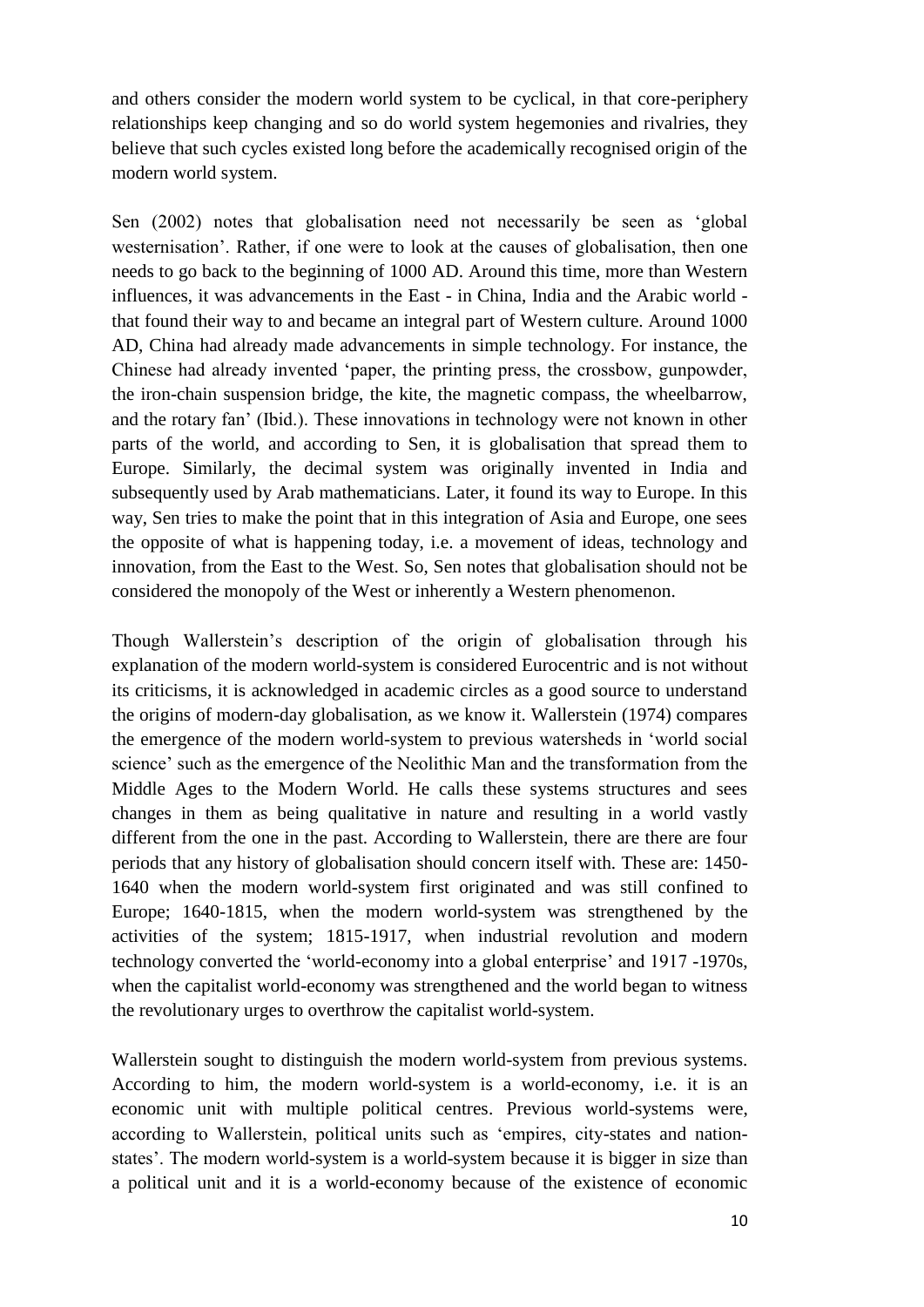#### **3.3 LIBERALISATION: MEANING AND APPROACHES**

Liberalisation is the process or means of the elimination of the control of the state over economic activities. It provides greater autonomy to the business enterprises in decision-making and eliminates government interference. The economy is thrown open and the best goods and services compete in the market and the consumer has a choice and monopolies disappear. In India, economic liberalisation is initiated in 1991 with the goal of making the economy more market-oriented and expanding the role of private and foreign investment.

Economic liberalisation is relaxing the government regulations in a country to allow the private sector companies to operate business transactions with comparatively fewer restrictions. Economic liberalization generally refers to allowing more private entities participate in economic activity, and capital market liberalization refers to reducing restrictions imposed on debt and equity markets. Thus, liberalisation provides ample freedom to the industrialist/businessman to establish industry, trade or commerce either in his country or abroad; free exchange of capital, goods, service and technologies between countries. Globalisation cannot take place without liberalisation.

As pointed out in the beginning, rules and laws which were aimed at regulating the economic activities became major hindrances in growth and development. Liberalisation was introduced to put an end to these restrictions and open various sectors of the economy. Though a few liberalisation measures were introduced in 1980s in areas of industrial licensing, export-import policy, technology up gradation, fiscal policy and foreign investment, reform policies initiated in 1991 were more comprehensive. Let us study some important areas, such as the industrial sector, financial sector, tax reforms, foreign exchange markets and trade and investment sectors which received greater attention in and after 1991.

**Deregulation of Industrial Sector:** In India, regulatory mechanisms were enforced in various ways (i) industrial licensing under which every entrepreneur had to get permission from government officials to start a firm, close a firm or decide the amount of goods that could be produced (ii) private sector was not allowed in many industries (iii) some goods could be produced only in small-scale industries, and (iv) controls on price fixation and distribution of selected industrial products. The reform policies introduced in and after 1991 removed many of these restrictions. Industrial licensing was abolished for almost all but product categories — alcohol, cigarettes, hazardous chemicals, industrial explosives, electronics, aerospace and drugs and pharmaceuticals. The only industries which are now reserved for the public sector are a part of defence equipment, atomic energy generation and railway transport. Many goods produced by small-scale industries have now been dereserved. In many industries, the market has been allowed to determine the prices.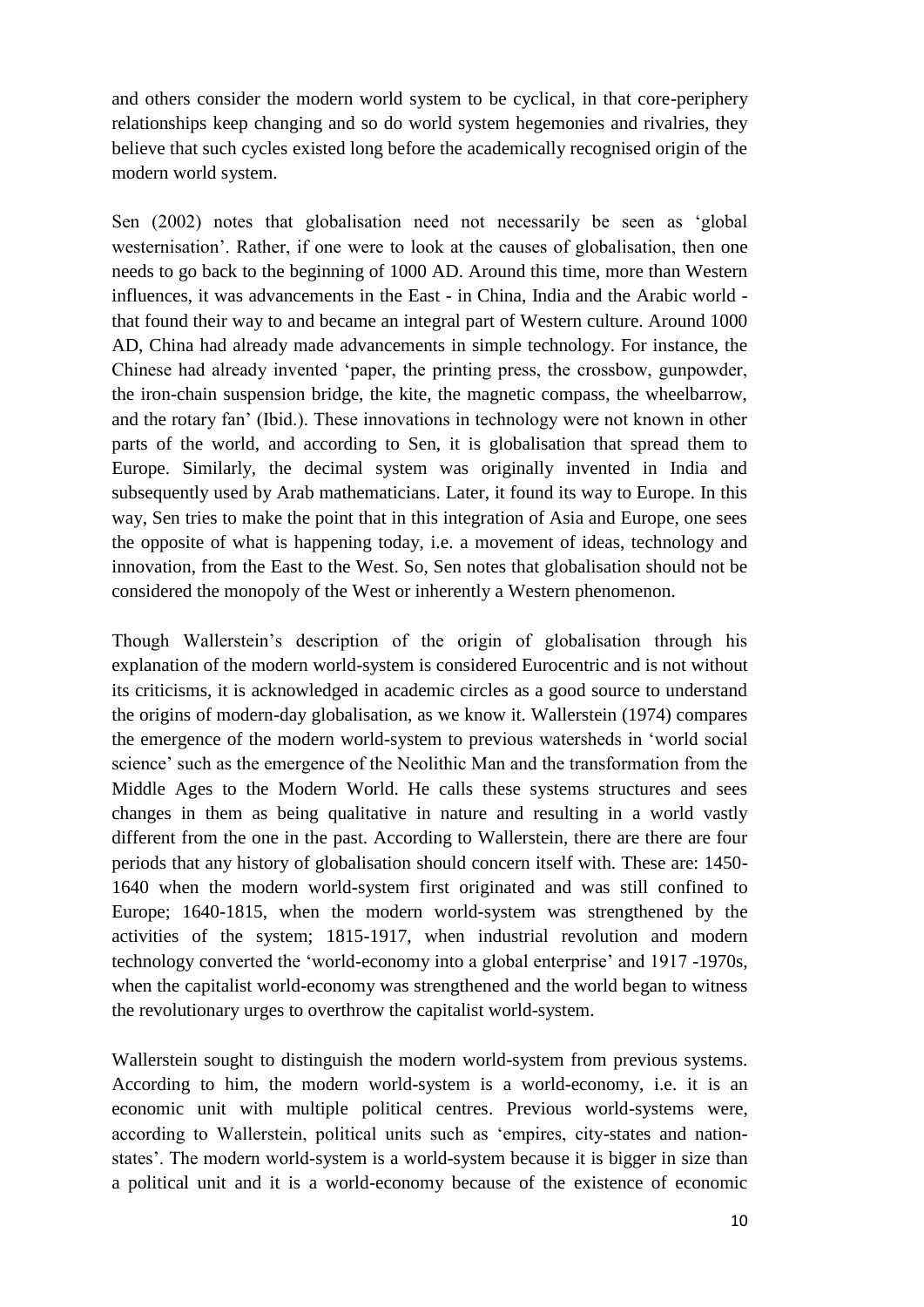**Financial Sector Reforms:** Financial sector includes financial institutions, such as commercial banks, investment banks, stock exchange operations and foreign exchange market. The financial sector in India is regulated by the Reserve Bank of India (RBI). You may be aware that all banks and other financial institutions in India are regulated through various norms and regulations of the RBI. The RBI decides the amount of money that the banks can keep with themselves, fixes interest rates, nature of lending to various sectors, etc. One of the major aims of financial sector reforms is to reduce the role of RBI from regulator to facilitator of financial sector. This means that the financial sector may be allowed to take decisions on many matters without consulting the RBI.

The reform policies led to the establishment of private sector banks, Indian as well as foreign. Foreign investment limit in banks was raised to around 74 per cent. Those banks which fulfil certain conditions have been given freedom to set up new branches without the approval of the RBI and rationalise their existing branch networks. Though banks have been given permission to generate resources from India and abroad, certain managerial aspects have been retained with the RBI to safeguard the interests of the account-holders and the nation. Foreign Institutional Investors (FII), such as merchant bankers, mutual funds and pension funds, are now allowed to invest in Indian financial markets.

**Tax Reforms:** Tax reforms are concerned with the reforms in the government's taxation and public expenditure policies, which are collectively known as its fiscal policy. There are two types of taxes: direct and indirect. Direct taxes consist of taxes on incomes of individuals, as well as, profits of business enterprises*.* Since 1991, there has been a continuous reduction in the taxes on individual incomes as it was felt that high rates of income tax were an important reason for tax evasion. It is now widely accepted that moderate rates of income tax encourage savings and voluntary disclosure of income. The rate of corporation tax, which was very high earlier, has been gradually reduced. Efforts have also been made to reform the indirect taxes, taxes levied on commodities, in order to facilitate the establishment of a common national market for goods and commodities.

In 2016, the Indian Parliament passed a law, Goods and Services Tax Act 2016, to simplify and introduce a unified indirect tax system in India. This law came into effect from July 2017. This is expected to generate additional revenue for the government, reduce tax evasion and create 'one nation, one tax and one market'. Another component of reform in this area is simplification. In order to encourage better compliance on the part of taxpayers, many procedures have been simplified and the rates also substantially lowered.

**Foreign Exchange Reforms:** The first important reform in the external sector was made in the foreign exchange market. In 1991, as an immediate measure to resolve the balance of payments crisis, the rupee was devalued against foreign currencies. This led to an increase in the inflow of foreign exchange. It also set the tone to free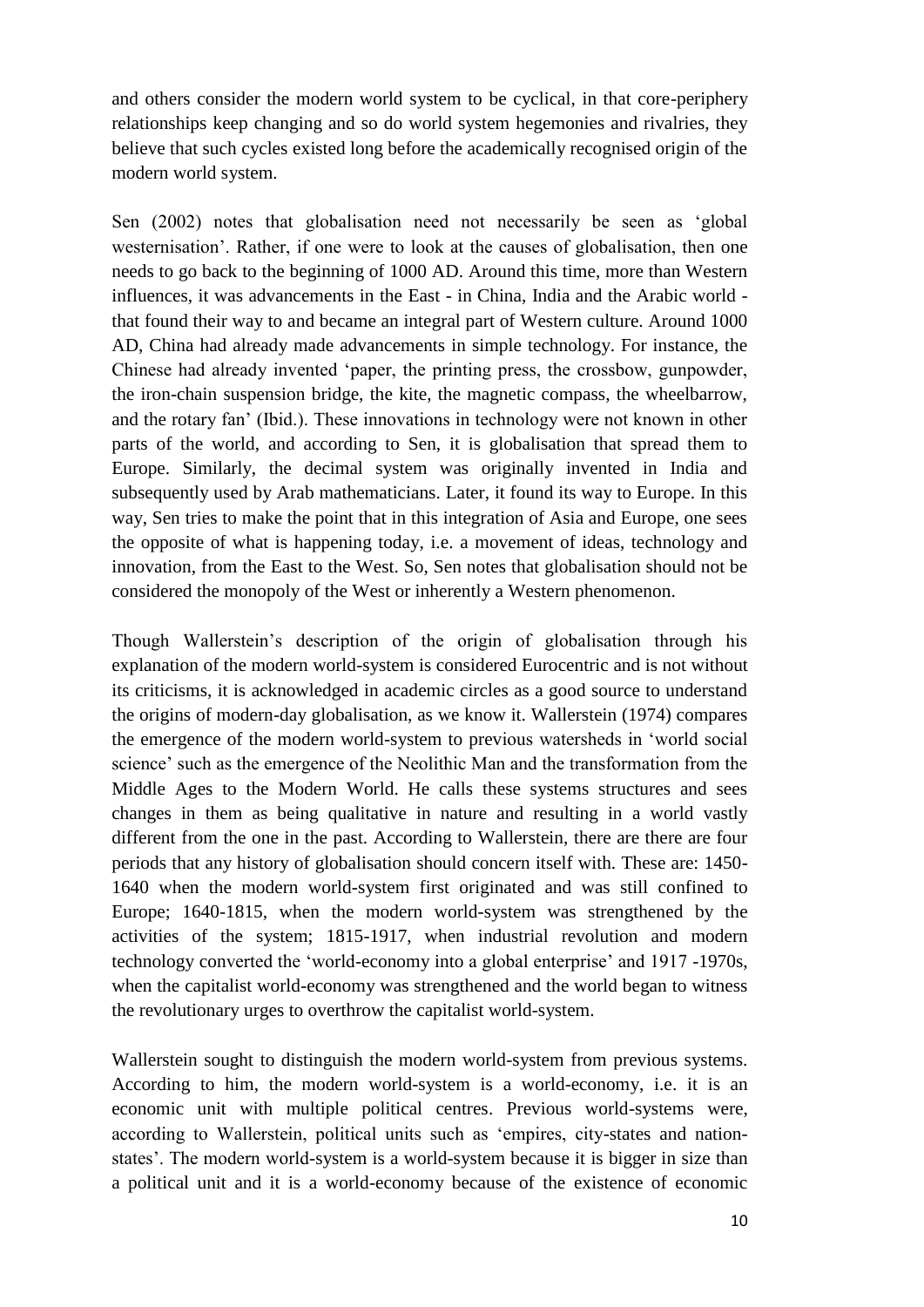the determination of rupee value in the foreign exchange market from government control. Now, more often than not, markets determine exchange rates based on the demand and supply of foreign exchange.

**Trade and Investment Policy Reforms:** Liberalisation of trade and investment regime was initiated to increase international competitiveness of industrial production and also foreign investments and technology into the economy. The aim was also to promote the efficiency of local industries and adoption of modern technologies.

## **3.4 FEATURES OF LIBERALISATION**

Following are some the features of liberalisation that was initiated as a part of economic reform of 1991;

- Abolition of the previously existing license in the country. License or permit Raj is a complicated system of regulations, licenses and restrictions that were imposed to run and set up business between 1947 and 1990.
- Reduction of interest rates and tariffs.
- Curbing monopoly of the public sector from various areas of our economy.
- Approval of foreign direct investment in various sectors.

Economic liberalisation in India integrated the above features and in general waived off several restriction to become private sector friendly.

## **3.4.1 Objectives of liberalisation in India:**

The primary objectives of initiating liberalisation in India can be summed up as follows;

- 1. To solve India's impending balance of payment crisis.
- 2. To boost the private sector's participation in the development of India's economy.
- 3. To increase the volume of foreign direct investment in India's businesses.
- 4. To introduce competition between India's domestic businesses.
- 5. To maximize India's economic potential by encouraging multinational and private companies to expand.
- 6. To usher in globalisation for the Indian economy.
- 7. To regulate export and import and promote foreign trade.

## **3.5 IMPACTS OF LIBERALISATION IN INDIA**

## **3.5.1 Positive impacts of liberalisation in India**

1) **Free flow of capital:** Liberalisation has improved flow of capital into the country which makes it inexpensive for the companies to access capital from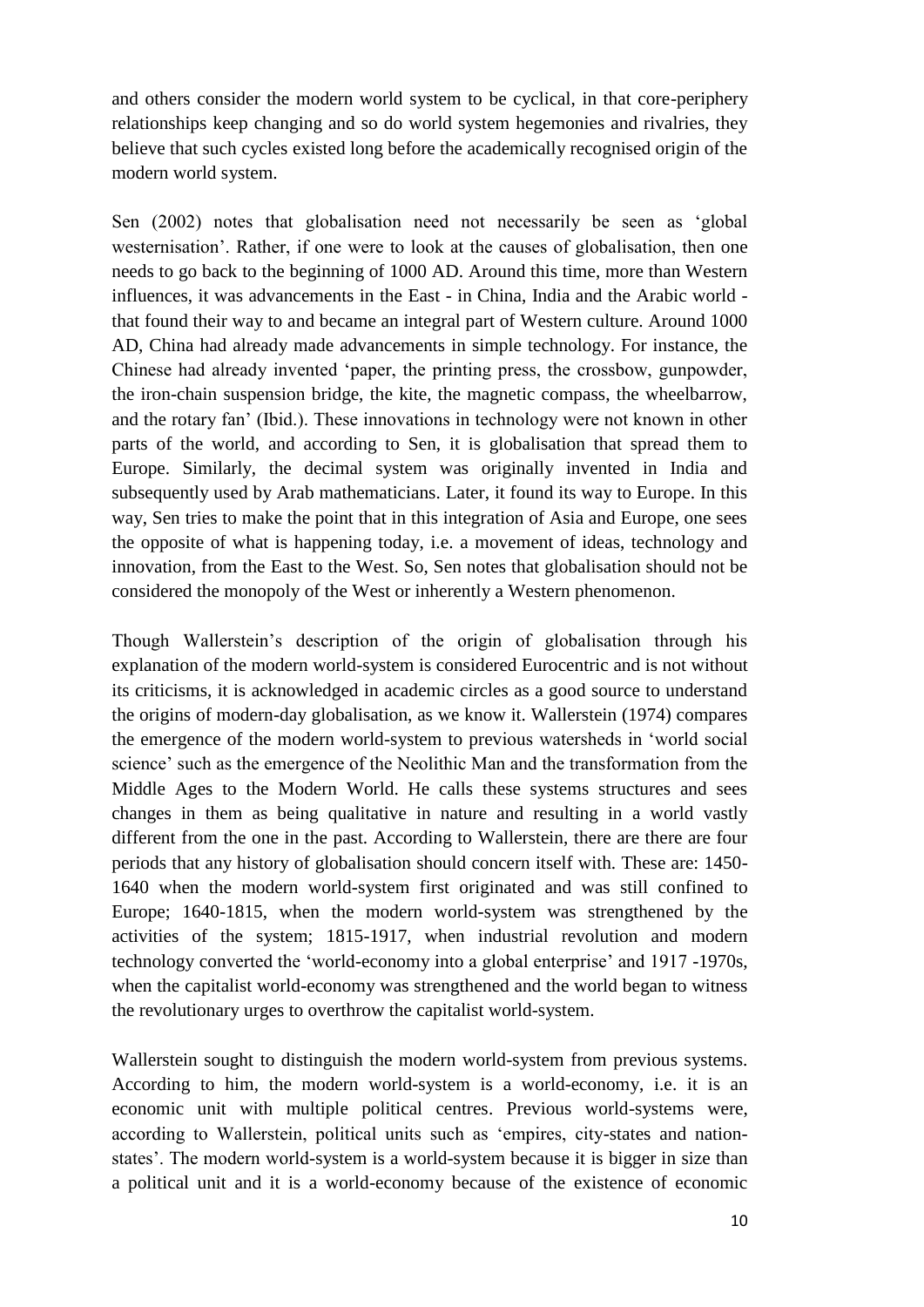investors. Lower cost of capital enables to undertake lucrative projects which they may not have been possible with a higher cost of capital preliberalisation, leading to higher growth rates.

- **2) Stock Market Performance:** Generally, when a country relaxes its laws, taxes, the stock market values also rise. Stock Markets are platforms on which Corporate Securities can be traded in real time. Impact of FDI in Banking sector: Foreign direct investment allowed in the banking and insurance sectors resulted in decline of government's stake in banks and insurance firms.
- 3) **Political Risks Reduced:** Liberalisation policies in the country lessen political risks to investors. The government can attract more foreign investment through liberalisation of economic policies. These are the areas that support and foster a readiness to do business in the country such as a strong legal foundation to settle disputes, fair and enforceable laws.
- 4) **Diversification for Investors:** In a liberalised economy, Investors gets benefit by being able to invest a portion of their portfolio into a diversifying asset class.
- 5) **Impact on Agriculture:** In the area of agriculture, the cropping patterns have undergone a huge modification, but the impact of liberalisation cannot be properly measured. It is observed that there are still all-pervasive government controls and interventions starting from production to distribution for the produce

### **3.5.2 Negative impacts of liberalisation in India**

- 1) **Destabilization of the economy:** Tremendous redistribution of economic power and political power leads to Destabilizing effects on the entire Indian economy. Threat from Multinationals: Prior to 1991 MNC's did not play much role in the Indian economy. In the pre-reform period, there was domination of public enterprises in the economy. On account of liberalisation, competition has increased for the Indian firms. Multinationals are quite big and operate in several countries which has turned out a threat to local Indian Firms.
- 2) **Technological Impact:** Rapid increase in technology forces many enterprises and small scale industries in India to either adapt to changes or close their businesses.
- 3) **Mergers and Acquisitions:** Acquisitions and mergers are increasing day-byday. In cases where small companies are being merged by big companies, the employees of the small companies may require exhaustive re-skilling. Reskilling duration will lead to non-productivity and would cast a burden on the capital of the company.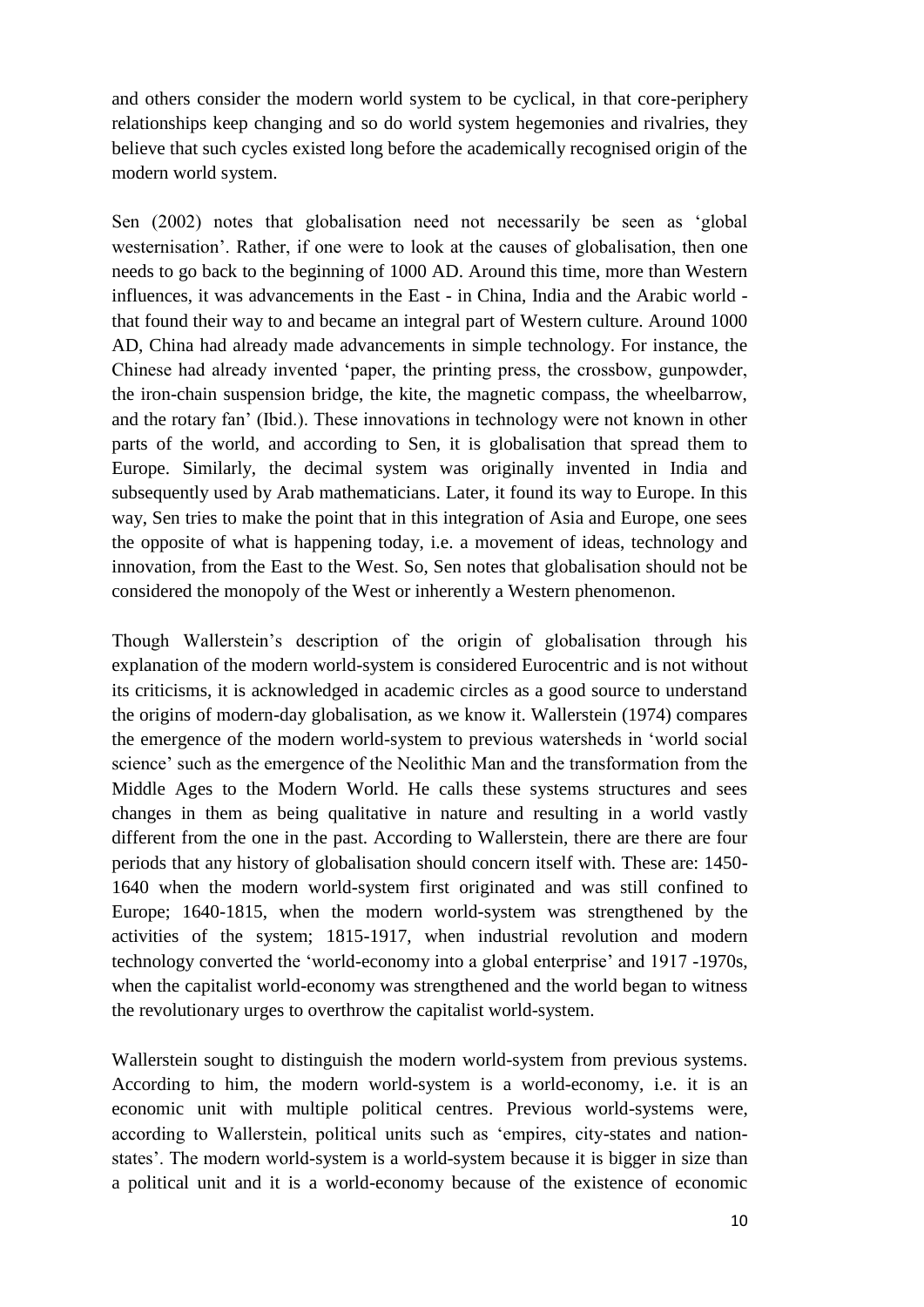4) **Impact of FDI in banking sector:** Foreign direct investment allowed in the banking and insurance sectors resulted in decline of government's stake in banks and insurance firms.

Check your progress 3.1 Note:

- i. Write your answer in the space given below
- ii. Compare your answer with the one given at the end of this Unit.

Q1. Mention any two positive impact of liberalisation in India. Ans-

## **3.6 PRIVATISATION**

Privatisation refers to the participation of private entities in businesses and services and transfer of ownership from the public sector (or government) to the private sector as well. Privatization is the transfer of control of ownership of economic resources from the public sector to the private sector. It means a decline in the role of the public sector as there is a shift in the property rights from the state to private ownership. The public sector had been experiencing various problems, since planning, such as low efficiency and profitability, mounting losses, excessive political interference, lack of autonomy, labour problems and delays in completion of projects. Hence to remedy this situation with Introduction of NIP'1991. Another term for privatization is Disinvestment. The objectives of disinvestment were to raise resources through sale of PSUs to be directed towards social welfare expenditures, raising efficiency of PSUs through increased competition, increasing consumer satisfaction with better quality goods and services, upgrading technology and most importantly removing political interference

### **3.6.1 The main aspects of privatization in India are as follows;**

- 1. Autonomy to Public sector: Greater autonomy was granted to nine PSUs referred to as 'navaratnas' (ONGC, HPCL, BPCL, VSNL, BHEL) to take their own decisions.
- 2. Dereservation of Public Sector : The number of industries reserved for the public sector were reduced in a phased manner from 17 to 8 and then to only 3 including Railways, Atomic energy, Specified minerals. This has opened more areas of investment for the private sector and increased competition for the public sector forcing greater accountability and efficiency.
- 3. Disinvestment Policies: Till 1999-2000 disinvestment was done basically through sale of minority shares but since then the government has undertaken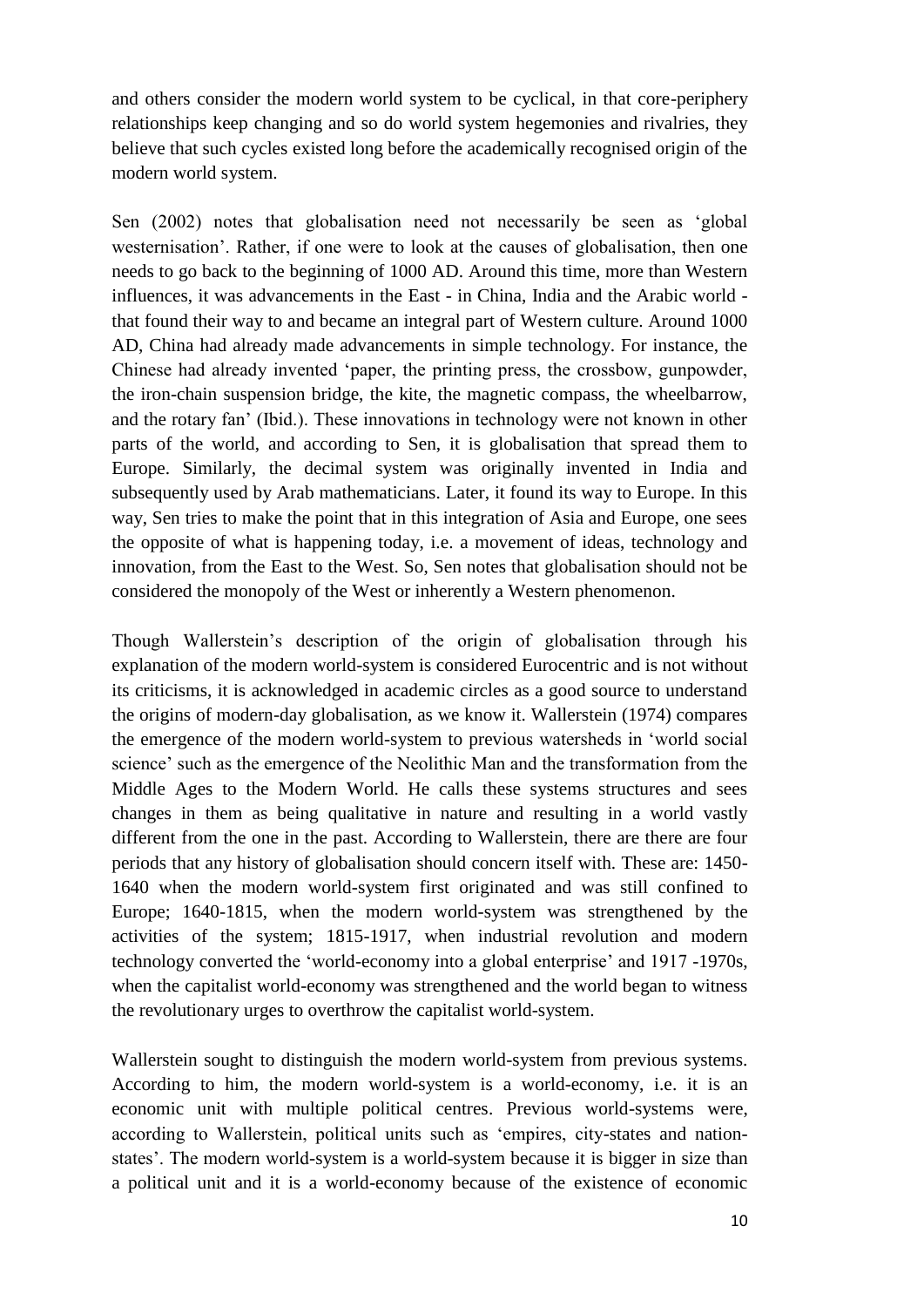strategic sale of its equity to the private sector handing over complete management control such as in the case of VSNL , BALCO .etc

However, there are some methods of Privatisation:

- 1. Public auction
- 2. Direct negotiations
- 3. Public tender
- 4. Transfer of control of State or municipally controlled enterprises
- 5. Lease with a right to purchase

## **3.7 FORMS OF PRIVATIZATION**

- **Denationalization or Strategic Sale**: When 100% government ownership of productive assets is transferred to the private sector players, the act is called denationalization.
- **Partial Privatization or Partial Sale**: When private sector owns more than 50% but less than 100% ownership in a previously construed public sector company by transfer of shares, it is called partial privatization. Here the private sector owns the majority of shares. Consequently, the private sector possesses substantial control in the functioning and autonomy of the company.
- **Deficit Privatization or Token Privatization:** When the government disinvests its share capital to an extent of 5-10% to meet the deficit in the budget is termed as deficit privatization.

#### **3.8 FEATURES OF PRIVATISATION**

- **Transfer of ownership:** In privatisation, ownership of a company, under taking or property is transferred to private sectors.
- **Lack of Government Interference:** Privatisation reduces indulgence and interference of the state in the activity of a company.
- **Economic Democracy:** Privatisation dilutes state monopoly and allows private companies to participate in economic activities more democratically

#### **3.8.1 Objectives of Privatisation**

• **Increased Competition:** State- run companies enjoy a monopoly and remain unperturbed. By competition in the market. Privatisation, accompanied by deregulation of the market, allows the private sector to engage more actively and encourage competition.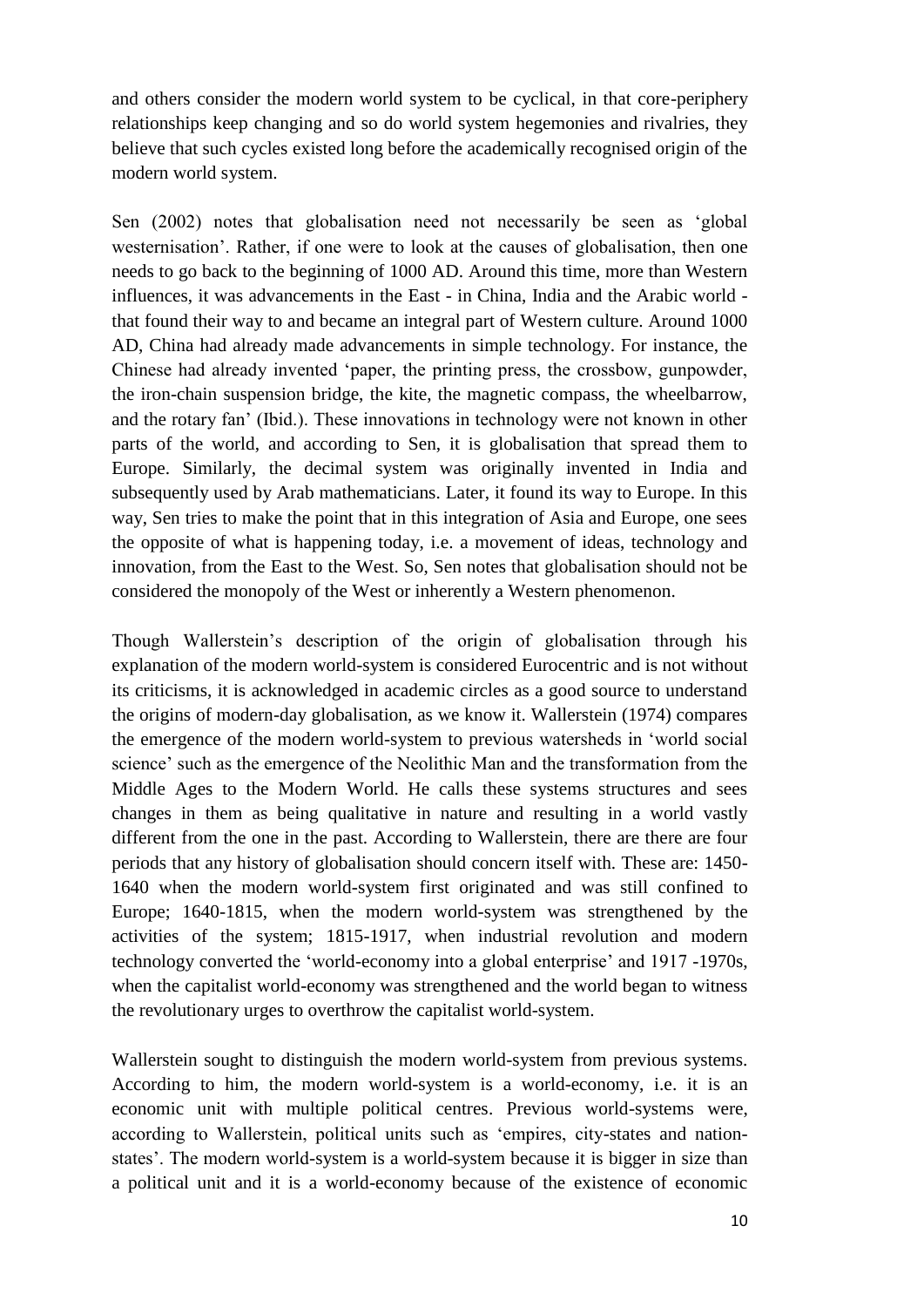• **Improved efficiency:** State run companies are predominantly influenced by political intentions rather than economic wellbeing. It hinders the efficiency of public sector companies and prevents growth.

Privatisation deters government influences and aids economic growth. As private bodies do not have a political agenda, they focus more on spurring growth and efficiency within an organisation for greater generation of revenues.

- **Promote market dynamism:** privatisation liberates the economy from state control. Without government regulation dictating market progression, the market operates organically. Due to lack of government interference, the market becomes more dynamic and follows integral economic values of demand and supply.
- **Revenue from the sale of a company:** A primary objectives of privatisation is a one- time revenue generation for the government. Several governments have previously reported to privatisation when facing a fiscal crisis.

## **3.9 IMPACT OF PRIVATISATION**

#### **Positive Aspect-**

- **1. Improved efficiency-**The main argument for privatisation is that private companies have a profit incentive to cut costs and be more efficient. If you work for a government run industry managers do not usually share in any profits. However, a private firm is interested in making a profit, and so it is more likely to cut costs and be efficient. Since privatisation, companies such as BT and British Airways have shown degrees of improved efficiency and higher profitability.
- **2. Lack of political interference-** It is argued governments make poor economic managers. They are motivated by political pressures rather than sound economic and business sense. For example, a state enterprise may employ surplus workers which is inefficient. The government may be reluctant to get rid of the workers because of the negative publicity involved in job losses. Therefore, state-owned enterprises often employ too many workers increasing inefficiency.
- **3. Short term view-** A government many think only in terms of the next election. Therefore, they may be unwilling to invest in infrastructure improvements which will benefit the firm in the long term because they are more concerned about projects that give a benefit before the election. It is easier to cut public sector investment than frontline services like healthcare.
- **4. Shareholders-** It is argued that a private firm has pressure from shareholders to perform efficiently. If the firm is inefficient then the firm could be subject to a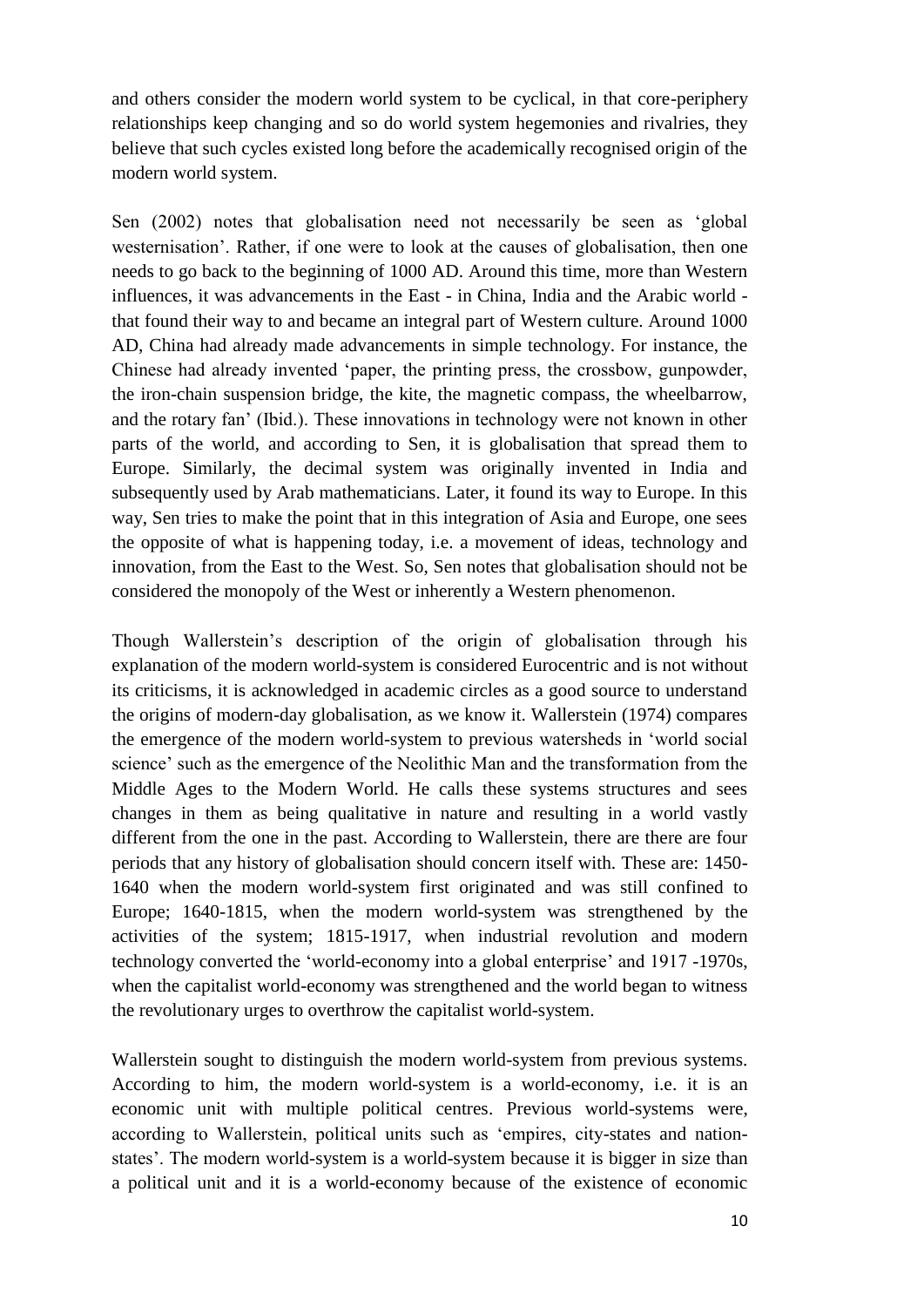takeover. A state-owned firm doesn't have this pressure and so it is easier for them to be inefficient.

- **5. Increased competition-** Often privatisation of state-owned monopolies occurs alongside deregulation  $-$  i.e. policies to allow more firms to enter the industry and increase the competitiveness of the market. It is this increase in competition that can be the greatest spur to improvements in efficiency. For example, there is now however, privatisation doesn't necessarily increase competition; it depends more competition in telecoms and distribution of gas and electricity. on the nature of the market. e.g. there is no competition in tap water because it is a natural monopoly. There is also very little competition within the rail industry.
- **6. Government will raise revenue from the sale-** Selling state-owned assets to the private sector raised significant sums for the UK government in the 1980s. However, this is a one-off benefit. It also means we lose out on future dividends from the profits of public companies.

#### **Negative Aspect-**

- **1. Natural monopoly-** A natural monopoly occurs when the most efficient number of firms in an industry is one. For example, tap water has very significant fixed costs. Therefore there is no scope for having competition amongst several firms. Therefore, in this case, privatisation would just create a private monopoly which might seek to set higher prices which exploit consumers. Therefore it is better to have a public monopoly rather than a private monopoly which can exploit the consumer.
- **2. Public interest-** There are many industries which perform an important public service, e.g., health care, education and public transport. In these industries, the profit motive shouldn't be the primary objective of firms and the industry. For example, in the case of health care, it is feared privatising health care would mean a greater priority is given to profit rather than patient care. Also, in an industry like health care, arguably we don't need a profit motive to improve standards. When doctors treat patients, they are unlikely to try harder if they get a bonus.
- **3. Government loses out on potential dividends-** Many of the privatised companies in the UK are quite profitable. This means the government misses out on their dividends, instead going to wealthy shareholders.
- **4. Problem of regulating private monopolies-** Privatisation creates private monopolies, such as the water companies and rail companies. These need regulating to prevent abuse of monopoly power. Therefore, there is still need for government regulation, similar to under state ownership.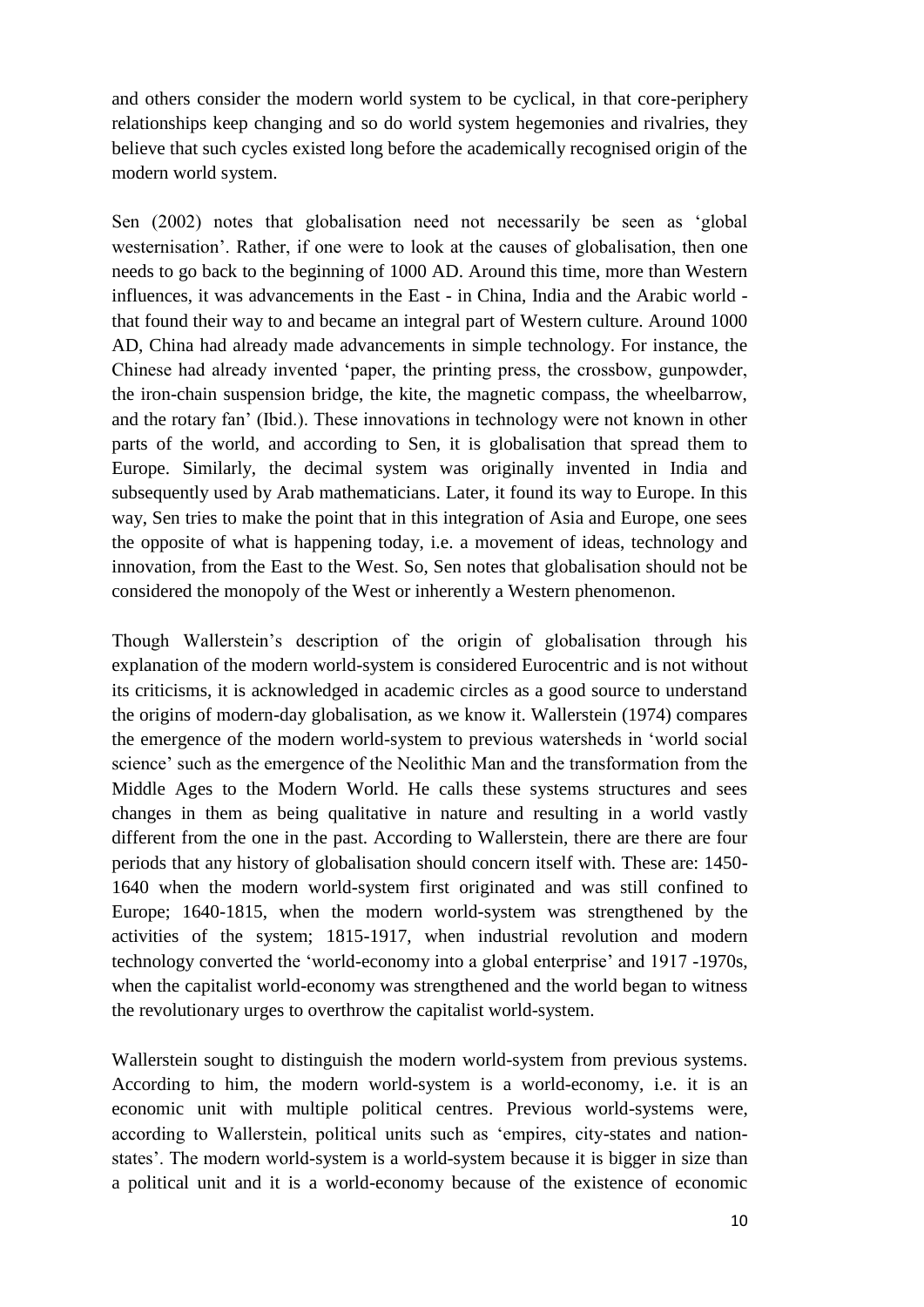- **5. Fragmentation of industries-** In the UK, rail privatisation led to breaking up the rail network into infrastructure and train operating companies. This led to areas where it was unclear who had responsibility. For example, the Hatfield rail crash was blamed on no one taking responsibility for safety. Different rail companies have increased the complexity of rail tickets.
- **6. Short-termism of firms-** As well as the government being motivated by short term pressures, this is something private firms may do as well. To please shareholders they may seek to increase short term profits and avoid investing in long term projects. For example, the UK is suffering from a lack of investment in new energy sources; the privatised companies are trying to make use of existing plants rather than invest in new ones.

Check your progress 3.2 Note:

- i. Write your answer in the space given below
- ii. Compare your answer with the one given at the end of this Unit.

Q1. Mention the methods of privatisation. Ans-

## **3.10 LET US SUM UP**

- Liberalisation is a process to removing controls systems in order to encourage economic development. The economy is thrown open and the best goods and services compete in the market and the consumer has a choice and monopolies disappear.
- Economic liberalisation is relaxing the government regulations in a country to allow the private sector companies to operate business transactions with comparatively fewer restrictions.
- In India, economic liberalisation is initiated in 1991 with the goal of making the economy more market-oriented and expanding the role of private and foreign investment.
- Privatization is the transfer of control of ownership of economic resources from the public sector to the private sector.
- Another term for privatization is Disinvestment. The objectives of disinvestment were to raise resources through sale of PSUs to be directed towards social welfare expenditures, raising efficiency of PSUs through increased competition,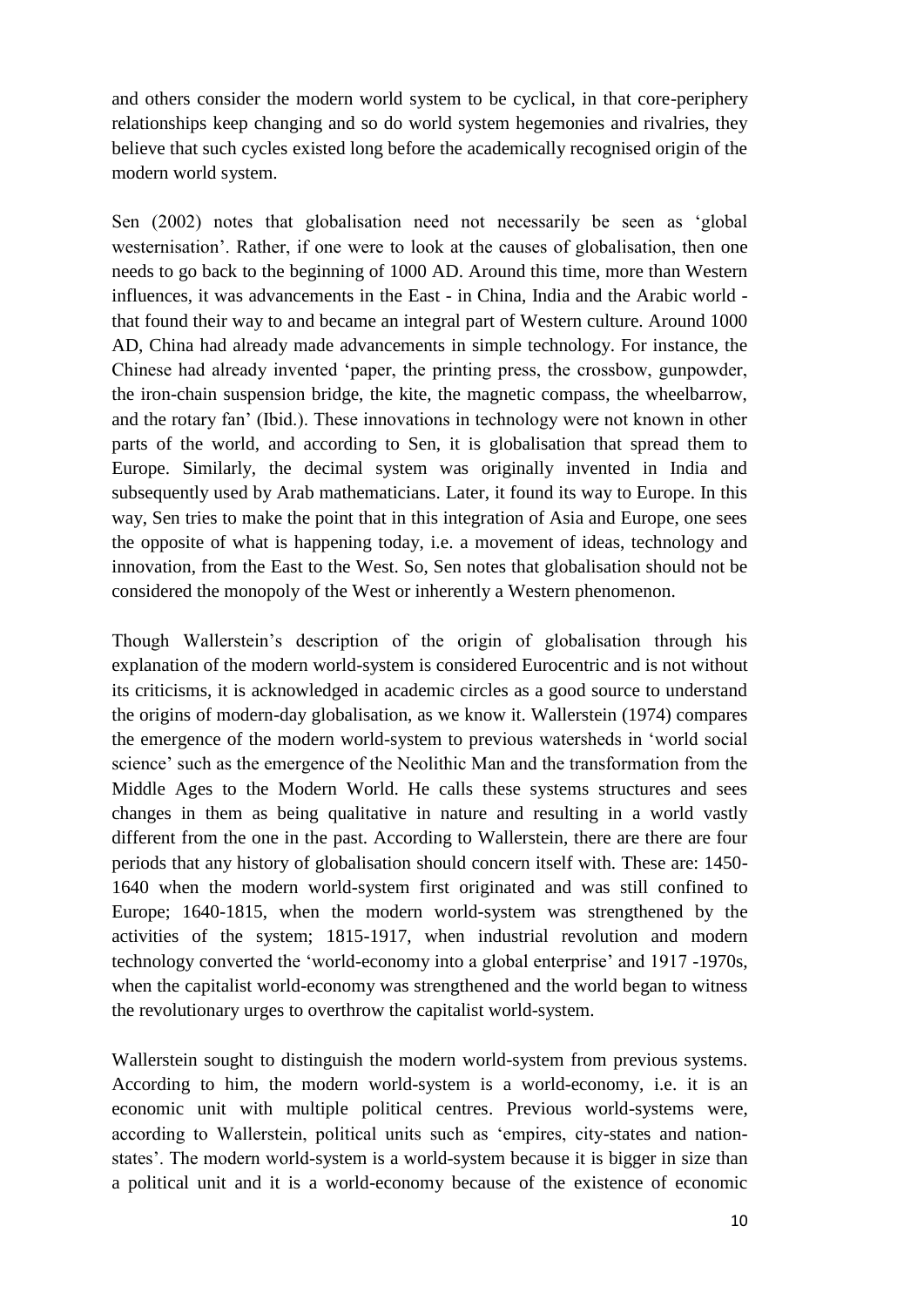increasing consumer satisfaction with better quality goods and services, upgrading technology and most importantly removing political interference.

## **3.11 GLOSSARY**

**Liberalisation-** Liberalisation is the process or means of the elimination of the control of the state over economic activities

**Denationalization-** Denationalization is the process of transferring an asset from public ownership specifically ownership by a national government to private ownership and operation.

**Disinvestment-** Disinvestment refers to the use of a concerted economic boycott to pressure a government, industry, or company towards a change in policy, or in the case of governments, even regime change.

## **3.11 CHECK YOUR PROGRESS: KEYS ANSWER**

**Q1.** Positive impacts of liberalisation in India

- 1) Free flow of capital: Liberalisation has improved flow of capital into the country which makes it inexpensive for the companies to access capital from investors. Lower cost of capital enables to undertake lucrative projects which they may not have been possible with a higher cost of capital pre-liberalisation, leading to higher growth rates.
- 2) Stock Market Performance: Generally, when a country relaxes its laws, taxes, the stock market values also rise. Stock Markets are platforms on which Corporate Securities can be traded in real time. Impact of FDI in banking sector: Foreign direct investment allowed in the banking and insurance sectors resulted in decline of government's stake in banks and insurance firms.
- **Q2.** There are some methods of Privatisation;
	- Public auction
	- Direct negotiations
	- Public tender
	- Transfer of control of State or municipally controlled enterprises
	- Lease with a right to purchase

### **3.12 MODEL QUESTIONS**

- Define the meaning of liberalisation and discuss its important features.
- Mention the major objectives of liberalisation in India.